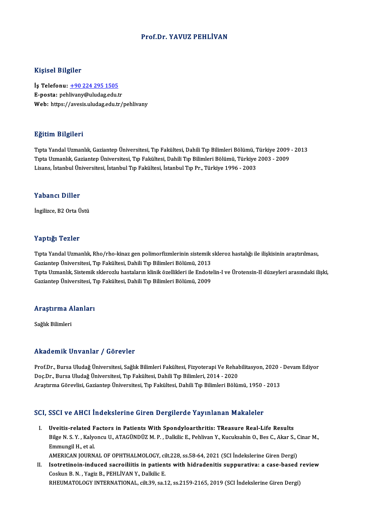### Prof.Dr. YAVUZ PEHLİVAN

### Kişisel Bilgiler

Kişisel Bilgiler<br>İş Telefonu: <u>+90 224 295 1505</u><br>E nosta: nebliyany@uludas.edu.t 11131001 D1151101<br>İş Telefonu: <u>+90 224 295 1505</u><br>E-posta: peh[livany@uludag.edu.t](tel:+90 224 295 1505)r E-posta: pehlivany@uludag.edu.tr<br>Web: https://avesis.uludag.edu.tr/pehlivany

### Eğitim Bilgileri

TıptaYandalUzmanlık,GaziantepÜniversitesi,Tıp Fakültesi,DahiliTıpBilimleriBölümü,Türkiye 2009 -2013 1911 - 1919<br>Tıpta Yandal Uzmanlık, Gaziantep Üniversitesi, Tıp Fakültesi, Dahili Tıp Bilimleri Bölümü, Türkiye 2009<br>Tıpta Uzmanlık, Gaziantep Üniversitesi, Tıp Fakültesi, Dahili Tıp Bilimleri Bölümü, Türkiye 2003 - 2009<br>Li Tıpta Yandal Uzmanlık, Gaziantep Üniversitesi, Tıp Fakültesi, Dahili Tıp Bilimleri Bölümü, T<br>Tıpta Uzmanlık, Gaziantep Üniversitesi, Tıp Fakültesi, Dahili Tıp Bilimleri Bölümü, Türkiye<br>Lisans, İstanbul Üniversitesi, İstanb Lisans, İstanbul Üniversitesi, İstanbul Tıp Fakültesi, İstanbul Tıp Pr., Türkiye 1996 - 2003<br>Yabancı Diller

İngilizce, B2 Orta Üstü

### Yaptığı Tezler

Yaptığı Tezler<br>Tıpta Yandal Uzmanlık, Rho/rho-kinaz gen polimorfizmlerinin sistemik skleroz hastalığı ile ilişkisinin araştırılması,<br>Caziantan Üniversitesi, Tın Fakültesi, Dabili Tın Pilimleri Pölümü, 2012 Tup 15, Tonion<br>Tıpta Yandal Uzmanlık, Rho/rho-kinaz gen polimorfizmlerinin sistemik<br>Gaziantep Üniversitesi, Tıp Fakültesi, Dahili Tıp Bilimleri Bölümü, 2013<br>Tınta Hamanlık, Sistemik ekleregiy baştaların klinik özellikleri Tıpta Yandal Uzmanlık, Rho/rho-kinaz gen polimorfizmlerinin sistemik skleroz hastalığı ile ilişkisinin araştırılması,<br>Gaziantep Üniversitesi, Tıp Fakültesi, Dahili Tıp Bilimleri Bölümü, 2013<br>Tıpta Uzmanlık, Sistemik sklero Gaziantep Üniversitesi, Tıp Fakültesi, Dahili Tıp Bilimleri Bölümü, 2013<br>Tıpta Uzmanlık, Sistemik sklerozlu hastaların klinik özellikleri ile Endote<br>Gaziantep Üniversitesi, Tıp Fakültesi, Dahili Tıp Bilimleri Bölümü, 2009

# uaziantep oniversitesi, 1<br>Araştırma Alanları <mark>Araştırma A</mark><br>Sağlık Bilimleri

# Akademik Unvanlar / Görevler

Akademik Unvanlar / Görevler<br>Prof.Dr., Bursa Uludağ Üniversitesi, Sağlık Bilimleri Fakültesi, Fizyoterapi Ve Rehabilitasyon, 2020 - Devam Ediyor<br>Des Dr., Bursa Uludağ Üniversitesi, Tın Fakültesi, Dabili Tın Bilimleri, 2014 rrittat onritt on varitar "/" der ovior<br>Prof.Dr., Bursa Uludağ Üniversitesi, Sağlık Bilimleri Fakültesi, Fizyoterapi Ve Rehal<br>Doç.Dr., Bursa Uludağ Üniversitesi, Tıp Fakültesi, Dahili Tıp Bilimleri, 2014 - 2020<br>Arastırma G Prof.Dr., Bursa Uludağ Üniversitesi, Sağlık Bilimleri Fakültesi, Fizyoterapi Ve Rehabilitasyon, 2020 -<br>Doç.Dr., Bursa Uludağ Üniversitesi, Tıp Fakültesi, Dahili Tıp Bilimleri, 2014 - 2020<br>Araştırma Görevlisi, Gaziantep Üni

# Araşurma Göreviisi, Gaziantep Universitesi, Tip Fakultesi, Danili Tip Bilimleri Bolumu, 1950 -<br>SCI, SSCI ve AHCI İndekslerine Giren Dergilerde Yayınlanan Makaleler

CI, SSCI ve AHCI İndekslerine Giren Dergilerde Yayınlanan Makaleler<br>I. Uveitis-related Factors in Patients With Spondyloarthritis: TReasure Real-Life Results<br>Pilge N.S. Y. Kelvengy II. ATACÜNDÜZ M.P. Delkije E. Beblivan V. Bilge N.S. Y. , Kalyoncu U., ATAGÜNDÜZ M. P. , Dalkilic E., Pehlivan Y., Kucuksahin O., Bes C., Akar S., Cinar M.,<br>Bilge N. S. Y. , Kalyoncu U., ATAGÜNDÜZ M. P. , Dalkilic E., Pehlivan Y., Kucuksahin O., Bes C., Akar S., C I. Uveitis-related Factors in Patients With Spondyloarthritis: TReasure Real-Life Results<br>Bilge N. S. Y. , Kalyoncu U., ATAGÜNDÜZ M. P. , Dalkilic E., Pehlivan Y., Kucuksahin O., Bes C., Akar S.,<br>Emmungil H., et al.<br>AMERIC Bilge N. S. Y. , Kalyoncu U., ATAGÜNDÜZ M. P. , Dalkilic E., Pehlivan Y., Kucuksahin O., Bes C., Akar S., (<br>Emmungil H., et al.<br>AMERICAN JOURNAL OF OPHTHALMOLOGY, cilt.228, ss.58-64, 2021 (SCI İndekslerine Giren Dergi)<br>Isa Emmungil H., et al.<br>AMERICAN JOURNAL OF OPHTHALMOLOGY, cilt.228, ss.58-64, 2021 (SCI Indekslerine Giren Dergi)<br>II. Isotretinoin-induced sacroiliitis in patients with hidradenitis suppurativa: a case-based review<br>Cockup B.N

AMERICAN JOURNAL OF OPHTHALMOLOGY, ci<br>Isotretinoin-induced sacroiliitis in patien<br>Coskun B. N. , Yagiz B., PEHLİVAN Y., Dalkilic E.<br>PHEIMATOLOGY INTERNATIONAL .cilt 20. 22.1 Isotretinoin-induced sacroiliitis in patients with hidradenitis suppurativa: a case-based 1<br>Coskun B. N. , Yagiz B., PEHLİVAN Y., Dalkilic E.<br>RHEUMATOLOGY INTERNATIONAL, cilt.39, sa.12, ss.2159-2165, 2019 (SCI İndekslerine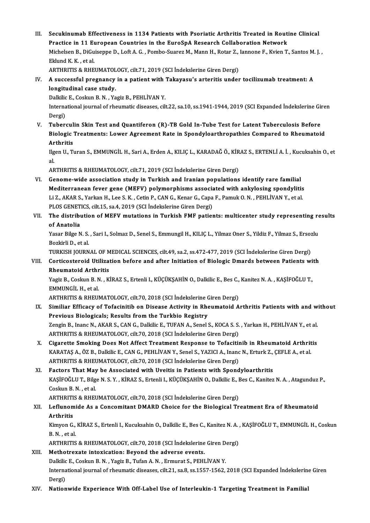III. Secukinumab Effectiveness in 1134 Patients with Psoriatic Arthritis Treated in Routine Clinical<br>Prestice in 11 European Countries in the EuroSnA Pessageb Callaboration Naturally Secukinumab Effectiveness in 1134 Patients with Psoriatic Arthritis Treated in Rout<br>Practice in 11 European Countries in the EuroSpA Research Collaboration Network<br>Misbelsen B. DiCuisenne D. Left A.C., Bembe Suener M. Mann Secukinumab Effectiveness in 1134 Patients with Psoriatic Arthritis Treated in Routine Clinical<br>Practice in 11 European Countries in the EuroSpA Research Collaboration Network<br>Michelsen B., DiGuiseppe D., Loft A. G. , Pomb Practice in 11 European Countries in the EuroSpA Research Collaboration Network<br>Michelsen B., DiGuiseppe D., Loft A. G. , Pombo-Suarez M., Mann H., Rotar Z., Iannone F., Kvien T., Santos M. J. ,<br>Eklund K. K. . et al. Michelsen B., DiGuiseppe D., Loft A. G. , Pombo-Suarez M., Mann H., Rotar Z.,<br>Eklund K. K. , et al.<br>ARTHRITIS & RHEUMATOLOGY, cilt.71, 2019 (SCI İndekslerine Giren Dergi)<br>A sussessful prespensu in a patient with Tekeyesu's Eklund K. K. , et al.<br>ARTHRITIS & RHEUMATOLOGY, cilt.71, 2019 (SCI İndekslerine Giren Dergi)<br>IV. A successful pregnancy in a patient with Takayasu's arteritis under tocilizumab treatment: A<br>longitudinal case study

# ARTHRITIS & RHEUMATOL<br>A successful pregnancy<br>longitudinal case study.<br>Dolkike F. Cockup B. N. . Yo A successful pregnancy in a patient with<br>longitudinal case study.<br>Dalkilic E., Coskun B. N. , Yagiz B., PEHLİVAN Y.<br>International journal of rhoumatic diseases, sil

longitudinal case study.<br>Dalkilic E., Coskun B. N. , Yagiz B., PEHLİVAN Y.<br>International journal of rheumatic diseases, cilt.22, sa.10, ss.1941-1944, 2019 (SCI Expanded İndekslerine Giren Dalkilic<br>Interna<br>Dergi)<br>Tuber International journal of rheumatic diseases, cilt.22, sa.10, ss.1941-1944, 2019 (SCI Expanded Indekslerine Gi<br>Dergi)<br>V. Tuberculin Skin Test and Quantiferon (R)-TB Gold In-Tube Test for Latent Tuberculosis Before<br>Pielogis

Dergi)<br>Tuberculin Skin Test and Quantiferon (R)-TB Gold In-Tube Test for Latent Tuberculosis Before<br>Biologic Treatments: Lower Agreement Rate in Spondyloarthropathies Compared to Rheumatoid<br>Arthritic Tubercul<br>Biologic<br>Arthritis<br><sup>Hoon H</sup>. T Biologic Treatments: Lower Agreement Rate in Spondyloarthropathies Compared to Rheumatoid<br>Arthritis<br>Ilgen U., Turan S., EMMUNGİL H., Sari A., Erden A., KILIÇ L., KARADAĞ Ö., KİRAZ S., ERTENLİ A. İ. , Kucuksahin O., et<br>el

Ar<br>Ilg<br>al. Ilgen U., Turan S., EMMUNGİL H., Sari A., Erden A., KILIÇ L., KARADAĞ Ö., KİR<br>al.<br>ARTHRITIS & RHEUMATOLOGY, cilt.71, 2019 (SCI İndekslerine Giren Dergi)<br>Conome uide assosiation study in Tunkish and Inanian nopulations

al.<br>ARTHRITIS & RHEUMATOLOGY, cilt.71, 2019 (SCI İndekslerine Giren Dergi)<br>VI. Genome-wide association study in Turkish and Iranian populations identify rare familial Mediterranean fever gene (MEFV) polymorphisms associated with ankylosing spondylitis Genome-wide association study in Turkish and Iranian populations identify rare familial<br>Mediterranean fever gene (MEFV) polymorphisms associated with ankylosing spondylitis<br>Li Z., AKAR S., Yarkan H., Lee S. K. , Cetin P., Mediterranean fever gene (MEFV) polymorphisms associa<br>Li Z., AKAR S., Yarkan H., Lee S. K. , Cetin P., CAN G., Kenar G., Capa<br>PLOS GENETICS, cilt.15, sa.4, 2019 (SCI İndekslerine Giren Dergi)<br>The distribution of MEEV mutat Li Z., AKAR S., Yarkan H., Lee S. K. , Cetin P., CAN G., Kenar G., Capa F., Pamuk O. N. , PEHLİVAN Y., et al.<br>PLOS GENETICS, cilt.15, sa.4, 2019 (SCI İndekslerine Giren Dergi)<br>VII. The distribution of MEFV mutations in Tur

## PLOS GENETICS, cilt.15, sa.4, 2019 (SCI Indekslerine Giren Dergi)<br>VII. The distribution of MEFV mutations in Turkish FMF patients: multicenter study representing results<br>of Anatolia The distribution of MEFV mutations in Turkish FMF patients: multicenter study representing re<br>of Anatolia<br>Yasar Bilge N. S. , Sari I., Solmaz D., Senel S., Emmungil H., KILIÇ L., Yilmaz Oner S., Yildiz F., Yilmaz S., Ersoz

of <mark>Anatolia</mark><br>Yasar Bilge N. S.<br>Bozkirli D., et al.<br>TURKISH JOURN Yasar Bilge N. S. , Sari I., Solmaz D., Senel S., Emmungil H., KILIÇ L., Yilmaz Oner S., Yildiz F., Yilmaz S., Ersoz<br>Bozkirli D., et al.<br>TURKISH JOURNAL OF MEDICAL SCIENCES, cilt.49, sa.2, ss.472-477, 2019 (SCI İndekslerin

## Bozkirli D., et al.<br>TURKISH JOURNAL OF MEDICAL SCIENCES, cilt.49, sa.2, ss.472-477, 2019 (SCI İndekslerine Giren Dergi)<br>VIII. Corticosteroid Utilization before and after Initiation of Biologic Dmards between Patients w TURKISH JOURNAL OF MEDICAL SCIENCES, cilt.49, sa.2, ss.472-477, 2019 (SCI İndekslerine Giren Dergi)<br>Corticosteroid Utilization before and after Initiation of Biologic Dmards between Patients w<br>Rheumatoid Arthritis Corticosteroid Utilization before and after Initiation of Biologic Dmards between Patients wi<br>Rheumatoid Arthritis<br>Yagiz B., Coskun B. N. , KİRAZ S., Ertenli I., KÜÇÜKŞAHİN O., Dalkilic E., Bes C., Kanitez N. A. , KAŞİFOĞL

Rheumatoid Arthr<br>Yagiz B., Coskun B. N<br>EMMUNGİL H., et al.<br>APTUPITIS & PUFUL Yagiz B., Coskun B. N. , KİRAZ S., Ertenli I., KÜÇÜKŞAHİN O., Dalkilic E., Bes C.,<br>EMMUNGİL H., et al.<br>ARTHRITIS & RHEUMATOLOGY, cilt.70, 2018 (SCI İndekslerine Giren Dergi)<br>Similiar Efficacy of Tofocinitib on Discass Asti

ARTHRITIS & RHEUMATOLOGY, cilt.70, 2018 (SCI Indekslerine Giren Dergi)

EMMUNGİL H., et al.<br>ARTHRITIS & RHEUMATOLOGY, cilt.70, 2018 (SCI İndekslerine Giren Dergi)<br>IX. Similiar Efficacy of Tofacinitib on Disease Activity in Rheumatoid Arthritis Patients with and without<br>Previous Biologicals Similiar Efficacy of Tofacinitib on Disease Activity in Rheumatoid Arthritis Patients with and w<br>Previous Biologicals; Results from the Turkbio Registry<br>Zengin B., Inanc N., AKAR S., CAN G., Dalkilic E., TUFAN A., Senel S. Previous Biologicals; Results from the Turkbio Registry<br>Zengin B., Inanc N., AKAR S., CAN G., Dalkilic E., TUFAN A., Senel S., KOCA S. S.<br>ARTHRITIS & RHEUMATOLOGY, cilt.70, 2018 (SCI İndekslerine Giren Dergi)<br>Cisanette Smo

Zengin B., Inanc N., AKAR S., CAN G., Dalkilic E., TUFAN A., Senel S., KOCA S. S. , Yarkan H., PEHLİVAN Y., et al.<br>ARTHRITIS & RHEUMATOLOGY, cilt.70, 2018 (SCI İndekslerine Giren Dergi)<br>X. Cigarette Smoking Does Not Affect

ARTHRITIS & RHEUMATOLOGY, cilt.70, 2018 (SCI İndekslerine Giren Dergi)<br>Cigarette Smoking Does Not Affect Treatment Response to Tofacitinib in Rheumatoid Arthrit<br>KARATAŞ A., ÖZ B., Dalkilic E., CAN G., PEHLİVAN Y., Senel S. Cigarette Smoking Does Not Affect Treatment Response to Tofacitin<br>KARATAŞ A., ÖZ B., Dalkilic E., CAN G., PEHLİVAN Y., Senel S., YAZICI A., Inanc<br>ARTHRITIS & RHEUMATOLOGY, cilt.70, 2018 (SCI İndekslerine Giren Dergi)<br>Facto KARATAŞ A., ÖZ B., Dalkilic E., CAN G., PEHLİVAN Y., Senel S., YAZICI A., Inanc N., Erturk Z.,<br>ARTHRITIS & RHEUMATOLOGY, cilt.70, 2018 (SCI İndekslerine Giren Dergi)<br>XI. Factors That May be Associated with Uveitis in Patie

## ARTHRITIS & RHEUMATOLOGY, cilt.70, 2018 (SCI İndekslerine Giren Dergi)<br>Factors That May be Associated with Uveitis in Patients with Spondyloarthritis<br>KAŞİFOĞLU T., Bilge N. S. Y. , KİRAZ S., Ertenli I., KÜÇÜKŞAHİN O., Dalk **Factors That May<br>KAŞİFOĞLU T., Bilg.<br>Coskun B. N. , et al.<br>APTUPITIS & PUFI** KAŞİFOĞLU T., Bilge N. S. Y. , KİRAZ S., Ertenli I., KÜÇÜKŞAHİN O., Dalkilic E., I<br>Coskun B. N. , et al.<br>ARTHRITIS & RHEUMATOLOGY, cilt.70, 2018 (SCI İndekslerine Giren Dergi)<br>Leflunomide As a Consemitant DMARD Chaise for

## Coskun B. N. , et al.<br>ARTHRITIS & RHEUMATOLOGY, cilt.70, 2018 (SCI İndekslerine Giren Dergi)<br>XII. Leflunomide As a Concomitant DMARD Choice for the Biological Treatment Era of Rheumatoid<br>Arthritic ARTHRITI<br><mark>Leflunom</mark><br>Arthritis<br><sup>Kimuon C</sup> Leflunomide As a Concomitant DMARD Choice for the Biological Treatment Era of Rheumatoid<br>Arthritis<br>Kimyon G., KİRAZ S., Ertenli I., Kucuksahin O., Dalkilic E., Bes C., Kanitez N. A. , KAŞİFOĞLU T., EMMUNGİL H., Coskun<br>B. N

Arthritis<br>Kimyon G., KİRAZ S., Ertenli I., Kucuksahin O., Dalkilic E., Bes C., Kanitez N. A. , KAŞİFOĞLU T., EMMUNGİL H., Coskun<br>B. N. . et al.

ARTHRITIS & RHEUMATOLOGY, cilt.70, 2018 (SCI İndekslerine Giren Dergi)

### XIII. Methotrexate intoxication: Beyond the adverse events. ARTHRITIS & RHEUMATOLOGY, cilt.70, 2018 (SCI İndekslerine Giren D.<br>Methotrexate intoxication: Beyond the adverse events.<br>Dalkilic E., Coskun B. N. , Yagiz B., Tufan A. N. , Ermurat S., PEHLİVAN Y.<br>International journal of International journal of rheumatic diseases, cilt.21, sa.8, ss.1557-1562, 2018 (SCI Expanded İndekslerine Giren<br>Dergi) Dalkilic<br>Interna<br>Dergi)<br>Nation

### XIV. Nationwide Experience With Off-Label Use of Interleukin-1 Targeting Treatment in Familial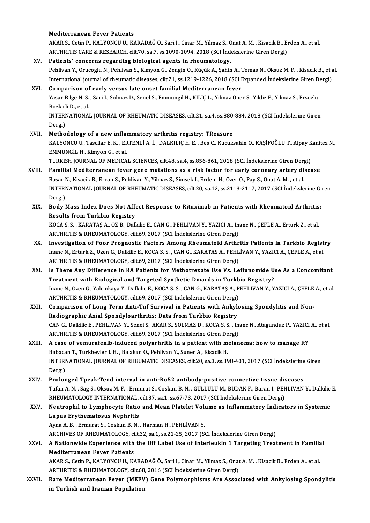#### Mediterranean Fever Patients

Mediterranean Fever Patients<br>AKAR S., Cetin P., KALYONCU U., KARADAĞ Ö., Sari I., Cinar M., Yilmaz S., Onat A. M. , Kisacik B., Erden A., et al.<br>ARTHRITIS CARE & RESEARCH, silt 70, 82.7, 82.1090,1094, 2018 (SSL İndekslerin Mediterranean Fever Patients<br>AKAR S., Cetin P., KALYONCU U., KARADAĞ Ö., Sari I., Cinar M., Yilmaz S., Onat A. M. , Kisacik B., Eı<br>ARTHRITIS CARE & RESEARCH, cilt.70, sa.7, ss.1090-1094, 2018 (SCI İndekslerine Giren Dergi) AKAR S., Cetin P., KALYONCU U., KARADAĞ Ö., Sari I., Cinar M., Yilmaz S., C<br>ARTHRITIS CARE & RESEARCH, cilt.70, sa.7, ss.1090-1094, 2018 (SCI Index<br>XV. Patients' concerns regarding biological agents in rheumatology.<br>Rebliu

- ARTHRITIS CARE & RESEARCH, cilt.70, sa.7, ss.1090-1094, 2018 (SCI İndekslerine Giren Dergi)<br>P<mark>atients' concerns regarding biological agents in rheumatology.</mark><br>Pehlivan Y., Orucoglu N., Pehlivan S., Kimyon G., Zengin O., Küç Patients' concerns regarding biological agents in rheumatology.<br>Pehlivan Y., Orucoglu N., Pehlivan S., Kimyon G., Zengin O., Küçük A., Şahin A., Tomas N., Oksuz M. F. , Kisacik B., et a<br>International journal of rheumatic d Pehlivan Y., Orucoglu N., Pehlivan S., Kimyon G., Zengin O., Küçük A., Şahin A., '<br>International journal of rheumatic diseases, cilt.21, ss.1219-1226, 2018 (SCI I<br>XVI. Comparison of early versus late onset familial Mediter
- International journal of rheumatic diseases, cilt.21, ss.1219-1226, 2018 (SCI Expanded Indekslerine Giren Dergi)<br>Comparison of early versus late onset familial Mediterranean fever<br>Yasar Bilge N. S. , Sari I., Solmaz D., Se Comparison of<br>Yasar Bilge N. S.<br>Bozkirli D., et al.<br>INTERNATIONA Yasar Bilge N. S. , Sari I., Solmaz D., Senel S., Emmungil H., KILIÇ L., Yilmaz Oner S., Yildiz F., Yilmaz S., Ersozlu<br>Bozkirli D., et al.<br>INTERNATIONAL JOURNAL OF RHEUMATIC DISEASES, cilt.21, sa.4, ss.880-884, 2018 (SCI İ Bozkirl<br>INTERI<br>Dergi)<br>Mathe INTERNATIONAL JOURNAL OF RHEUMATIC DISEASES, cilt.21, sa.4, ss.880<br>Dergi)<br>XVII. Methodology of a new inflammatory arthritis registry: TReasure<br>KALVONCU U. Teggilar E. K., ERTENH LA L. DALKU IC U. E. Peg C. Kuguk
- Dergi)<br>Methodology of a new inflammatory arthritis registry: TReasure<br>KALYONCU U., Tascilar E. K. , ERTENLİ A. İ. , DALKILIÇ H. E. , Bes C., Kucuksahin O., KAŞİFOĞLU T., Alpay Kanitez N., EMMUNGİLH.,KimyonG.,etal. KALYONCU U., Tascilar E. K. , ERTENLİ A. İ. , DALKILIÇ H. E. , Bes C., Kucuksahin O., KAŞİFOĞLU T., Alpay K<br>EMMUNGİL H., Kimyon G., et al.<br>TURKISH JOURNAL OF MEDICAL SCIENCES, cilt.48, sa.4, ss.856-861, 2018 (SCI İndeksler

- EMMUNGİL H., Kimyon G., et al.<br>TURKISH JOURNAL OF MEDICAL SCIENCES, cilt.48, sa.4, ss.856-861, 2018 (SCI İndekslerine Giren Dergi)<br>XVIII. Familial Mediterranean fever gene mutations as a risk factor for early coronary arte TURKISH JOURNAL OF MEDICAL SCIENCES, cilt.48, sa.4, ss.856-861, 2018 (SCI İndekslerine Giren Derg<br>Familial Mediterranean fever gene mutations as a risk factor for early coronary artery di:<br>Basar N., Kisacik B., Ercan S., P Familial Mediterranean fever gene mutations as a risk factor for early coronary artery disease<br>Basar N., Kisacik B., Ercan S., Pehlivan Y., Yilmaz S., Simsek I., Erdem H., Ozer O., Pay S., Onat A. M., et al.<br>INTERNATIONAL Basar N., Kisacik B., Ercan S., Pehlivan Y., Yilmaz S., Simsek I., Erdem H., Ozer O., Pay S., Onat A. M., et al. INTERNATIONAL JOURNAL OF RHEUMATIC DISEASES, cilt.20, sa.12, ss.2113-2117, 2017 (SCI İndekslerine Gi<br>Dergi)<br>XIX. Body Mass Index Does Not Affect Response to Rituximab in Patients with Rheumatoid Arthritis:<br>Peaulta from Tur
- Dergi)<br>Body Mass Index Does Not Aff<br>Results from Turkbio Registry<br>KOCAS S. KARATAS A. ÖZ P. Dall Body Mass Index Does Not Affect Response to Rituximab in Patients with Rheumatoid Arthritis<br>Results from Turkbio Registry<br>KOCA S. S. , KARATAŞ A., ÖZ B., Dalkilic E., CAN G., PEHLİVAN Y., YAZICI A., Inanc N., ÇEFLE A., Ert Results from Turkbio Registry<br>KOCA S. S. , KARATAŞ A., ÖZ B., Dalkilic E., CAN G., PEHLİVAN Y., YAZICI A., Inanc N., ÇEFLE A., Erturk Z., et al.<br>ARTHRITIS & RHEUMATOLOGY, cilt.69, 2017 (SCI İndekslerine Giren Dergi)
- KOCA S. S., KARATAŞ A., ÖZ B., Dalkilic E., CAN G., PEHLİVAN Y., YAZICI A., Inanc N., ÇEFLE A., Erturk Z., et al.<br>ARTHRITIS & RHEUMATOLOGY, cilt.69, 2017 (SCI İndekslerine Giren Dergi)<br>XX. Investigation of Poor Prognostic ARTHRITIS & RHEUMATOLOGY, cilt.69, 2017 (SCI İndekslerine Giren Dergi)<br>Investigation of Poor Prognostic Factors Among Rheumatoid Arthritis Patients in Turkbio Regist<br>Inanc N., Erturk Z., Ozen G., Dalkilic E., KOCA S. S. , Inanc N., Erturk Z., Ozen G., Dalkilic E., KOCA S. S. , CAN G., KARATAŞ A., PEHLİVAN Y., YAZICI A., ÇEFLE A., et al.<br>ARTHRITIS & RHEUMATOLOGY, cilt.69, 2017 (SCI İndekslerine Giren Dergi) Inanc N., Erturk Z., Ozen G., Dalkilic E., KOCA S. S. , CAN G., KARATAŞ A., PEHLİVAN Y., YAZICI A., ÇEFLE A., et al.<br>ARTHRITIS & RHEUMATOLOGY, cilt.69, 2017 (SCI İndekslerine Giren Dergi)<br>XXI. Is There Any Difference in RA
- ARTHRITIS & RHEUMATOLOGY, cilt.69, 2017 (SCI İndekslerine Giren Dergi)<br>Is There Any Difference in RA Patients for Methotrexate Use Vs. Leflunomide U<br>Treatment with Biological and Targeted Synthetic Dmards in Turkbio Regist Is There Any Difference in RA Patients for Methotrexate Use Vs. Leflunomide Use As a Concomitant<br>Treatment with Biological and Targeted Synthetic Dmards in Turkbio Registry?<br>Inanc N., Ozen G., Yalcinkaya Y., Dalkilic E., K Treatment with Biological and Targeted Synthetic Dmards in Turkb<br>Inanc N., Ozen G., Yalcinkaya Y., Dalkilic E., KOCA S. S. , CAN G., KARATAŞ A., P<br>ARTHRITIS & RHEUMATOLOGY, cilt.69, 2017 (SCI İndekslerine Giren Dergi)<br>Comp Inanc N., Ozen G., Yalcinkaya Y., Dalkilic E., KOCA S. S. , CAN G., KARATAŞ A., PEHLİVAN Y., YAZICI A., ÇEFLE<br>ARTHRITIS & RHEUMATOLOGY, cilt.69, 2017 (SCI İndekslerine Giren Dergi)<br>XXII. Comparison of Long Term Anti-Tnf Su
- ARTHRITIS & RHEUMATOLOGY, cilt.69, 2017 (SCI İndekslerine Giren Dergi)<br>Comparison of Long Term Anti-Tnf Survival in Patients with Ankylosing Spondylitis and Non-Radiographic Axial Spondyloarthritis; Data from Turkbio Regis Comparison of Long Term Anti-Tnf Survival in Patients with Ankylosing Spondylitis and Non-<br>Radiographic Axial Spondyloarthritis; Data from Turkbio Registry<br>CAN G., Dalkilic E., PEHLİVAN Y., Senel S., AKAR S., SOLMAZ D., KO Radiographic Axial Spondyloarthritis; Data from Turkbio Registry<br>CAN G., Dalkilic E., PEHLİVAN Y., Senel S., AKAR S., SOLMAZ D., KOCA S. S. , In:<br>ARTHRITIS & RHEUMATOLOGY, cilt.69, 2017 (SCI İndekslerine Giren Dergi)<br>A sas CAN G., Dalkilic E., PEHLİVAN Y., Senel S., AKAR S., SOLMAZ D., KOCA S. S. , Inanc N., Atagunduz P., YAZICI<br>ARTHRITIS & RHEUMATOLOGY, cilt.69, 2017 (SCI İndekslerine Giren Dergi)<br>XXIII. A case of vemurafenib-induced polyar
- ARTHRITIS & RHEUMATOLOGY, cilt.69, 2017 (SCI İndekslerine Giren De<br>A case of vemurafenib-induced polyarhritis in a patient with m<br>Babacan T., Turkbeyler I. H. , Balakan O., Pehlivan Y., Suner A., Kisacik B.<br>INTERNATIONAL J A case of vemurafenib-induced polyarhritis in a patient with melanoma: how to manage it?<br>Babacan T., Turkbeyler I. H. , Balakan O., Pehlivan Y., Suner A., Kisacik B.<br>INTERNATIONAL JOURNAL OF RHEUMATIC DISEASES, cilt.20, sa Babacan T., Turkbeyler I. H. , Balakan O., Pehlivan Y., Suner A., Kisacik B.<br>INTERNATIONAL JOURNAL OF RHEUMATIC DISEASES, cilt.20, sa.3, ss.398-401, 2017 (SCI İndekslerine Giren<br>Dergi)
- XXIV. Prolonged Tpeak-Tend interval in anti-Ro52 antibody-positive connective tissue diseases TufanA.N. ,Sag S.,OksuzM.F. ,ErmuratS.,CoskunB.N. ,GÜLLÜLÜM.,BUDAKF.,BaranI.,PEHLİVANY.,DalkilicE. Prolonged Tpeak-Tend interval in anti-Ro52 antibody-positive connective tissue dis<br>Tufan A. N. , Sag S., Oksuz M. F. , Ermurat S., Coskun B. N. , GÜLLÜLÜ M., BUDAK F., Baran I., PEF<br>RHEUMATOLOGY INTERNATIONAL, cilt.37, sa. Tufan A. N. , Sag S., Oksuz M. F. , Ermurat S., Coskun B. N. , GÜLLÜLÜ M., BUDAK F., Baran I., PEHLİVAN Y., Dalkilic<br>RHEUMATOLOGY INTERNATIONAL, cilt.37, sa.1, ss.67-73, 2017 (SCI İndekslerine Giren Dergi)<br>XXV. Neutrophil

# RHEUMATOLOGY INTERNATIONAL,<br>Neutrophil to Lymphocyte Ratio<br>Lupus Erythematosus Nephritis<br>Auno A.B., Eumunat S. Cockup B.N. Neutrophil to Lymphocyte Ratio and Mean Platelet Volutions<br>Lupus Erythematosus Nephritis<br>Ayna A. B., Ermurat S., Coskun B. N., Harman H., PEHLİVAN Y.<br>ARCHIVES OF PHEIMATOLOCY, silt 22, sa 1, ss 21, 25, 2017 (S.

Lupus Erythematosus Nephritis<br>Ayna A. B. , Ermurat S., Coskun B. N. , Harman H., PEHLİVAN Y.<br>ARCHIVES OF RHEUMATOLOGY, cilt.32, sa.1, ss.21-25, 2017 (SCI İndekslerine Giren Dergi)<br>A Nationuide Eunenianee with the Off Lebel Ayna A. B., Ermurat S., Coskun B. N., Harman H., PEHLİVAN Y.<br>ARCHIVES OF RHEUMATOLOGY, cilt.32, sa.1, ss.21-25, 2017 (SCI İndekslerine Giren Dergi)<br>XXVI. A Nationwide Experience with the Off Label Use of Interleukin 1 Targ

- ARCHIVES OF RHEUMATOLOGY, ci<br>A Nationwide Experience with<br>Mediterranean Fever Patients<br>AKAB S. Cotin B. KAI VONCU U. K A Nationwide Experience with the Off Label Use of Interleukin 1 Targeting Treatment in Familia<br>Mediterranean Fever Patients<br>AKAR S., Cetin P., KALYONCU U., KARADAĞ Ö., Sari I., Cinar M., Yilmaz S., Onat A. M. , Kisacik B., Mediterranean Fever Patients<br>AKAR S., Cetin P., KALYONCU U., KARADAĞ Ö., Sari I., Cinar M., Yilmaz S., Onat<br>ARTHRITIS & RHEUMATOLOGY, cilt.68, 2016 (SCI İndekslerine Giren Dergi)<br>Pare Mediterranean Fouer (MEEV) Cane Polyme AKAR S., Cetin P., KALYONCU U., KARADAĞ Ö., Sari I., Cinar M., Yilmaz S., Onat A. M. , Kisacik B., Erden A., et al.<br>ARTHRITIS & RHEUMATOLOGY, cilt.68, 2016 (SCI İndekslerine Giren Dergi)<br>XXVII. Rare Mediterranean Fever (ME
- ARTHRITIS & RHEUMATOLOGY, cilt.68<br>Rare Mediterranean Fever (MEFV<br>in Turkish and Iranian Population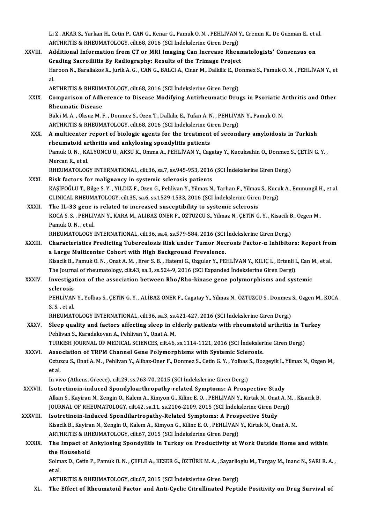Li Z., AKAR S., Yarkan H., Cetin P., CAN G., Kenar G., Pamuk O. N. , PEHLİVAN Y., Cremin K., De Guzman E., et al<br>ARTHRITIS & RHEIJMATOLOCY, silt 69, 2016 (SCLİndekslerine Girer Dergi) Li Z., AKAR S., Yarkan H., Cetin P., CAN G., Kenar G., Pamuk O. N. , PEHLİVAN )<br>ARTHRITIS & RHEUMATOLOGY, cilt.68, 2016 (SCI İndekslerine Giren Dergi)<br>Additional Information from CT or MBL Imaging Con Ingresse Bhou Li Z., AKAR S., Yarkan H., Cetin P., CAN G., Kenar G., Pamuk O. N. , PEHLİVAN Y., Cremin K., De Guzman E., et a<br>ARTHRITIS & RHEUMATOLOGY, cilt.68, 2016 (SCI İndekslerine Giren Dergi)<br>XXVIII. Additional Information from CT

- ARTHRITIS & RHEUMATOLOGY, cilt.68, 2016 (SCI İndekslerine Giren Dergi)<br>Additional Information from CT or MRI Imaging Can Increase Rheumatologists' Consensus on<br>Grading Sacroiliitis By Radiography: Results of the Trimage Pr Additional Information from CT or MRI Imaging Can Increase Rheumatologists' Consensus on<br>Grading Sacroiliitis By Radiography: Results of the Trimage Project<br>Haroon N., Baraliakos X., Jurik A. G. , CAN G., BALCI A., Cinar M Gr<br>Ha<br>al Haroon N., Baraliakos X., Jurik A. G. , CAN G., BALCI A., Cinar M., Dalkilic E., Do<br>al.<br>ARTHRITIS & RHEUMATOLOGY, cilt.68, 2016 (SCI İndekslerine Giren Dergi)<br>Comparison of Adharonso to Disease Modifying Antirheumatis Dru al.<br>ARTHRITIS & RHEUMATOLOGY, cilt.68, 2016 (SCI İndekslerine Giren Dergi)<br>XXIX. Comparison of Adherence to Disease Modifying Antirheumatic Drugs in Psoriatic Arthritis and Other<br>Rheumatic Disease ARTHRITIS & RHEUMATOLOGY, cilt.68, 2016 (SCI Indekslerine Giren Dergi)
- Comparison of Adherence to Disease Modifying Antirheumatic Drugs in Psoriatic A<br>Rheumatic Disease<br>Balci M. A. , Oksuz M. F. , Donmez S., Ozen T., Dalkilic E., Tufan A. N. , PEHLİVAN Y., Pamuk O. N.<br>APTURITIS & PHEUMATOLOCY

Rheumatic Disease<br>Balci M. A. , Oksuz M. F. , Donmez S., Ozen T., Dalkilic E., Tufan A. N. , PEHLİVA<br>ARTHRITIS & RHEUMATOLOGY, cilt.68, 2016 (SCI İndekslerine Giren Dergi)<br>A multicanter report of biologis agants for the tr ARTHRITIS & RHEUMATOLOGY, cilt.68, 2016 (SCI Indekslerine Giren Dergi)

- XXX. Amulticenter report of biologic agents for the treatment of secondary amyloidosis in Turkish A multicenter report of biologic agents for the treatment of secondary amyloidosis in Turkish<br>rheumatoid arthritis and ankylosing spondylitis patients<br>Pamuk O. N. , KALYONCU U., AKSU K., Omma A., PEHLİVAN Y., Cagatay Y., K r<mark>heumatoid ar</mark><br>Pamuk O. N. , KA<br>Mercan R., et al.<br>PHEUMATOLOC Pamuk O. N. , KALYONCU U., AKSU K., Omma A., PEHLİVAN Y., Cagatay Y., Kucuksahin O., Donmez S.<br>Mercan R., et al.<br>RHEUMATOLOGY INTERNATIONAL, cilt.36, sa.7, ss.945-953, 2016 (SCI İndekslerine Giren Dergi)<br>Piek fostors for m Mercan R., et al.<br>RHEUMATOLOGY INTERNATIONAL, cilt.36, sa.7, ss.945-953, 2016 (SCI İndekslerine Giren Dergi)<br>XXXI. Risk factors for malignancy in systemic sclerosis patients
- KAŞİFOĞLUT.,Bilge S.Y. ,YILDIZ F.,OzenG.,PehlivanY.,YilmazN.,TarhanF.,Yilmaz S.,KucukA.,EmmungilH.,etal. CLINICALRHEUMATOLOGY, cilt.35, sa.6, ss.1529-1533,2016 (SCI İndekslerineGirenDergi) KAŞİFOĞLU T., Bilge S. Y., YILDIZ F., Ozen G., Pehlivan Y., Yilmaz N., Tarhan F., Yilmaz<br>CLINICAL RHEUMATOLOGY, cilt.35, sa.6, ss.1529-1533, 2016 (SCI İndekslerine Girer<br>XXXII. The IL-33 gene is related to increased suscep
- KOCA S. S. , PEHLİVAN Y., KARA M., ALİBAZ ÖNER F., ÖZTUZCU S., Yilmaz N., ÇETİN G. Y. , Kisacik B., Ozgen M.,<br>Pamuk O. N. , et al. The IL-33 gene i<br>KOCA S. S. , PEHLIV<br>Pamuk O. N. , et al.<br>PHEUMATOLOCY I KOCA S. S. , PEHLİVAN Y., KARA M., ALİBAZ ÖNER F., ÖZTUZCU S., Yilmaz N., ÇETİN G. Y. , Kisacik B<br>Pamuk O. N. , et al.<br>RHEUMATOLOGY INTERNATIONAL, cilt.36, sa.4, ss.579-584, 2016 (SCI İndekslerine Giren Dergi)<br>Charactorist

Pamuk O. N. , et al.<br>RHEUMATOLOGY INTERNATIONAL, cilt.36, sa.4, ss.579-584, 2016 (SCI İndekslerine Giren Dergi)<br>XXXIII. Characteristics Predicting Tuberculosis Risk under Tumor Necrosis Factor-α Inhibitors: Report fro RHEUMATOLOGY INTERNATIONAL, cilt.36, sa.4, ss.579-584, 2016 (SCI<br>Characteristics Predicting Tuberculosis Risk under Tumor Nec<br>a Large Multicenter Cohort with High Background Prevalence.<br>Visasik B. Bamuk O.N., Opat A.M., Fr Characteristics Predicting Tuberculosis Risk under Tumor Necrosis Factor-α Inhibitors: Report from<br>a Large Multicenter Cohort with High Background Prevalence.<br>Kisacik B., Pamuk O. N. , Onat A. M. , Erer S. B. , Hatemi G., a Large Multicenter Cohort with High Background Prevalence.<br>Kisacik B., Pamuk O. N. , Onat A. M. , Erer S. B. , Hatemi G., Ozguler Y., PEHLİVAN Y., KILIÇ L., Ertenli I., Can M., et al.

The Journal of rheumatology, cilt.43, sa.3, ss.524-9, 2016 (SCI Expanded Indekslerine Giren Dergi)

XXXIV. Investigation of the association between Rho/Rho-kinase gene polymorphisms and systemic Investigation of the association between Rho/Rho-kinase gene polymorphisms and systemic<br>sclerosis<br>PEHLİVAN Y., Yolbas S., ÇETİN G. Y. , ALİBAZ ÖNER F., Cagatay Y., Yilmaz N., ÖZTUZCU S., Donmez S., Ozgen M., KOCA<br>S. S., et

**sclerosis<br>PEHLİVAN<br>S. S. , et al.<br>PHEIMAT** PEHLİVAN Y., Yolbas S., ÇETİN G. Y. , ALİBAZ ÖNER F., Cagatay Y., Yilmaz N., ÖZTUZCU S., Donmez<br>S. S. , et al.<br>RHEUMATOLOGY INTERNATIONAL, cilt.36, sa.3, ss.421-427, 2016 (SCI İndekslerine Giren Dergi)<br>Sleep quality and fa

S. S. , et al.<br>RHEUMATOLOGY INTERNATIONAL, cilt.36, sa.3, ss.421-427, 2016 (SCI İndekslerine Giren Dergi)<br>XXXV. Sleep quality and factors affecting sleep in elderly patients with rheumatoid arthritis in Turkey<br>Pehlivan RHEUMATOLOGY INTERNATIONAL, cilt.36, sa.3, ss.<br>Sleep quality and factors affecting sleep in el<br>Pehlivan S., Karadakovan A., Pehlivan Y., Onat A. M.<br>TURKISH JOURNAL OF MEDICAL SCIENCES silt.46 Sleep quality and factors affecting sleep in elderly patients with rheumatoid arthritis in Tu<br>Pehlivan S., Karadakovan A., Pehlivan Y., Onat A. M.<br>TURKISH JOURNAL OF MEDICAL SCIENCES, cilt.46, ss.1114-1121, 2016 (SCI İndek

Pehlivan S., Karadakovan A., Pehlivan Y., Onat A. M.<br>TURKISH JOURNAL OF MEDICAL SCIENCES, cilt.46, ss.1114-1121, 2016 (SCI Indeksler<br>XXXVI. Association of TRPM Channel Gene Polymorphisms with Systemic Sclerosis.<br>Ortugau S. TURKISH JOURNAL OF MEDICAL SCIENCES, cilt.46, ss.1114-1121, 2016 (SCI İndekslerine Giren Dergi)<br>Association of TRPM Channel Gene Polymorphisms with Systemic Sclerosis.<br>Oztuzcu S., Onat A. M. , Pehlivan Y., Alibaz-Oner F., Association of TRPM Channel Gene Polymorphisms with Systemic Sclerosis.<br>Oztuzcu S., Onat A. M. , Pehlivan Y., Alibaz-Oner F., Donmez S., Cetin G. Y. , Yolbas S., Boz<br>et al.<br>In vivo (Athens, Greece), cilt.29, ss.763-70, 201 Oztuzcu S., Onat A. M. , Pehlivan Y., Alibaz-Oner F., Donmez S., Cetin G. Y. , Yolbas<br>et al.<br>In vivo (Athens, Greece), cilt.29, ss.763-70, 2015 (SCI İndekslerine Giren Dergi)<br>Isatratinejn, indused Spandylearthronathy, rela

- XXXVII. Isotretinoin-induced Spondyloarthropathy-related Symptoms: A Prospective Study In vivo (Athens, Greece), cilt.29, ss.763-70, 2015 (SCI İndekslerine Giren Dergi)<br>Isotretinoin-induced Spondyloarthropathy-related Symptoms: A Prospective Study<br>Alkan S., Kayiran N., Zengin O., Kalem A., Kimyon G., Kilinc Isotretinoin-induced Spondyloarthropathy-related Symptoms: A Prospective Study<br>Alkan S., Kayiran N., Zengin O., Kalem A., Kimyon G., Kilinc E. O. , PEHLİVAN Y., Kirtak N., Onat A. M<br>JOURNAL OF RHEUMATOLOGY, cilt.42, sa.11, Alkan S., Kayiran N., Zengin O., Kalem A., Kimyon G., Kilinc E. O., PEHLİVAN Y., Kirtak N., Onat<br>JOURNAL OF RHEUMATOLOGY, cilt.42, sa.11, ss.2106-2109, 2015 (SCI İndekslerine Giren De<br>XXXVIII. Isotretinoin-Induced Spondila
- JOURNAL OF RHEUMATOLOGY, cilt.42, sa.11, ss.2106-2109, 2015 (SCI İndekslerine Giren Dergi)<br>Isotretinoin-Induced Spondilartropathy-Related Symptoms: A Prospective Study<br>Kisacik B., Kayiran N., Zengin O., Kalem A., Kimyon G. Isotretinoin-Induced Spondilartropathy-Related Symptoms: A Prosp<br>Kisacik B., Kayiran N., Zengin O., Kalem A., Kimyon G., Kilinc E. O. , PEHLİVAN<br>ARTHRITIS & RHEUMATOLOGY, cilt.67, 2015 (SCI İndekslerine Giren Dergi)<br>The Im ARTHRITIS & RHEUMATOLOGY, cilt.67, 2015 (SCI Indekslerine Giren Dergi)

### XXXIX. The Impact of Ankylosing Spondylitis in Turkey on Productivity at Work Outside Home and within<br>the Household The Impact of Ankylosing Spondylitis in Turkey on Productivity at Work Outside Home and within<br>the Household<br>Solmaz D., Cetin P., Pamuk O. N. , ÇEFLE A., KESER G., ÖZTÜRK M. A. , Sayarlioglu M., Turgay M., Inanc N., SARI R the I<br>Solm<br>et al Solmaz D., Cetin P., Pamuk O. N. , ÇEFLE A., KESER G., ÖZTÜRK M. A. , Sayarlio<br>et al.<br>ARTHRITIS & RHEUMATOLOGY, cilt.67, 2015 (SCI İndekslerine Giren Dergi)<br>The Effect of Phoumatoid Fastan and Anti-Guelie Girmulinated Bont

et al.<br>ARTHRITIS & RHEUMATOLOGY, cilt.67, 2015 (SCI İndekslerine Giren Dergi)<br>XL. The Effect of Rheumatoid Factor and Anti-Cyclic Citrullinated Peptide Positivity on Drug Survival of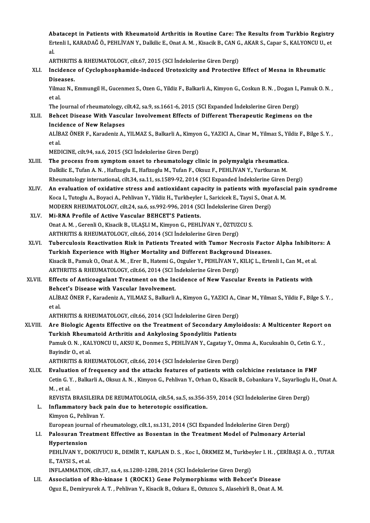Abatacept in Patients with Rheumatoid Arthritis in Routine Care: The Results from Turkbio Registry<br>Extenti L KARADAČÖ DEHLİVAN V. Delkije E. Opat A. M. Kisasik B. CAN.C. AKAR S. Capar S. KALVONCU U. et Abatacept in Patients with Rheumatoid Arthritis in Routine Care: The Results from Turkbio Registry<br>Ertenli I., KARADAĞ Ö., PEHLİVAN Y., Dalkilic E., Onat A. M. , Kisacik B., CAN G., AKAR S., Capar S., KALYONCU U., et Ab<br>Er<br>al. Ertenli I., KARADAĞ Ö., PEHLİVAN Y., Dalkilic E., Onat A. M. , Kisacik B., CAN G., AKAR S., Capar S., KALYONCU U., et<br>al.

al.<br>ARTHRITIS & RHEUMATOLOGY, cilt.67, 2015 (SCI İndekslerine Giren Dergi)<br>XLI. Incidence of Cyclophosphamide-induced Urotoxicity and Protective Effect of Mesna in Rheumatic<br>Diseases ARTHRITIS & RHEUMATOLOGY, cilt.67, 2015 (SCI Indekslerine Giren Dergi)<br>Incidence of Cyclophosphamide-induced Urotoxicity and Protective<br>Diseases. Incidence of Cyclophosphamide-induced Urotoxicity and Protective Effect of Mesna in Rheumatic<br>Diseases.<br>Yilmaz N., Emmungil H., Gucenmez S., Ozen G., Yildiz F., Balkarli A., Kimyon G., Coskun B. N. , Dogan I., Pamuk O. N.

Yilmaz N., Emmungil H., Gucenmez S., Ozen G., Yildiz F., Balkarli A., Kimyon G., Coskun B. N. , Dogan I., Pamuk O. N. ,<br>et al. Yilmaz N., Emmungil H., Gucenmez S., Ozen G., Yildiz F., Balkarli A., Kimyon G., Coskun B. N. , Dogan I.,<br>et al.<br>The Journal of rheumatology, cilt.42, sa.9, ss.1661-6, 2015 (SCI Expanded İndekslerine Giren Dergi)<br>Bohast Di

### XLII. Behcet Disease With Vascular Involvement Effects of Different Therapeutic Regimens on the The Journal of rheumatology, c<br>Behcet Disease With Vascu<br>Incidence of New Relapses Incidence of New Relapses

ALİBAZ ÖNER F., Karadeniz A., YILMAZ S., Balkarli A., Kimyon G., YAZICI A., Cinar M., Yilmaz S., Yildiz F., Bilge S.Y. ,<br>et al.

MEDICINE, cilt.94, sa.6, 2015 (SCI İndekslerine Giren Dergi)

- et al.<br>MEDICINE, cilt.94, sa.6, 2015 (SCI Indekslerine Giren Dergi)<br>XLIII. The process from symptom onset to rheumatology clinic in polymyalgia rheumatica.<br>Delitie E. Tufan A.N., Hefizegly E. Hefizegly M. Tufan E. Okaya E. MEDICINE, cilt.94, sa.6, 2015 (SCI İndekslerine Giren Dergi)<br>The process from symptom onset to rheumatology clinic in polymyalgia rheumatica.<br>Dalkilic E., Tufan A.N. , Hafizoglu E., Hafizoglu M., Tufan F., Oksuz F., PEHLİV Dalkilic E., Tufan A. N. , Hafizoglu E., Hafizoglu M., Tufan F., Oksuz F., PEHLİVAN Y., Yurtkuran M.<br>Rheumatology international, cilt.34, sa.11, ss.1589-92, 2014 (SCI Expanded İndekslerine Giren Dergi) Dalkilic E., Tufan A. N. , Hafizoglu E., Hafizoglu M., Tufan F., Oksuz F., PEHLİVAN Y., Yurtkuran M.<br>Rheumatology international, cilt.34, sa.11, ss.1589-92, 2014 (SCI Expanded Indekslerine Giren Dergi)<br>XLIV. An evaluation
- Rheumatology international, cilt.34, sa.11, ss.1589-92, 2014 (SCI Expanded Indekslerine Giren<br>An evaluation of oxidative stress and antioxidant capacity in patients with myofasci<br>Koca I., Tutoglu A., Boyaci A., Pehlivan Y. An evaluation of oxidative stress and antioxidant capacity in patients with mychoca I., Tutoglu A., Boyaci A., Pehlivan Y., Yildiz H., Turkbeyler I., Saricicek E., Taysi S., Onat MODERN RHEUMATOLOGY, cilt.24, sa.6, ss.992-Koca I., Tutoglu A., Boyaci A., Pehlivan Y., Yildiz H., Turkbeyler<br>MODERN RHEUMATOLOGY, cilt.24, sa.6, ss.992-996, 2014 (SCN)<br>XLV. Mi-RNA Profile of Active Vascular BEHCET'S Patients.
- MODERN RHEUMATOLOGY, cilt.24, sa.6, ss.992-996, 2014 (SCI İndekslerine Giren<br>Mi-RNA Profile of Active Vascular BEHCET'S Patients.<br>Onat A. M. , Gerenli O., Kisacik B., ULAŞLI M., Kimyon G., PEHLİVAN Y., ÖZTUZCU S.<br>APTUPITIS Mi-RNA Profile of Active Vascular BEHCET'S Patients.<br>Onat A. M. , Gerenli O., Kisacik B., ULAŞLI M., Kimyon G., PEHLİVAN Y., ÖZTUZCU S.<br>ARTHRITIS & RHEUMATOLOGY, cilt.66, 2014 (SCI İndekslerine Giren Dergi) Onat A. M. , Gerenli O., Kisacik B., ULAŞLI M., Kimyon G., PEHLİVAN Y., ÖZTUZCU S.<br>ARTHRITIS & RHEUMATOLOGY, cilt.66, 2014 (SCI İndekslerine Giren Dergi)<br>XLVI. Tuberculosis Reactivation Risk in Patients Treated with Tu
- ARTHRITIS & RHEUMATOLOGY, cilt.66, 2014 (SCI İndekslerine Giren Dergi)<br>Tuberculosis Reactivation Risk in Patients Treated with Tumor Necrosis Facto<br>Turkish Experience with Higher Mortality and Different Background Diseases Tuberculosis Reactivation Risk in Patients Treated with Tumor Necrosis Factor Alpha Inhibito<br>Turkish Experience with Higher Mortality and Different Background Diseases.<br>Kisacik B., Pamuk O., Onat A. M. , Erer B., Hatemi G. Turkish Experience with Higher Mortality and Different Background Diseases.<br>Kisacik B., Pamuk O., Onat A. M. , Erer B., Hatemi G., Ozguler Y., PEHLİVAN Y., KILIÇ L., Ertenli I., Can M., et al.<br>ARTHRITIS & RHEUMATOLOGY, cil
- XLVII. Effects of Anticoagulant Treatment on the Incidence of New Vascular Events in Patients with ARTHRITIS & RHEUMATOLOGY, cilt.66, 2014 (SCI İ<br>Effects of Anticoagulant Treatment on the In<br>Behcet's Disease with Vascular Involvement.<br>ALIBAZ ÖNER E. Karadariz A. VILMAZ S. Pallarli ALİBAZ ÖNER F., Karadeniz A., YILMAZ S., Balkarli A., Kimyon G., YAZICI A., Cinar M., Yilmaz S., Yildiz F., Bilge S.Y. ,<br>et al. **Beho**<br>ALİB<br>et al. ALİBAZ ÖNER F., Karadeniz A., YILMAZ S., Balkarli A., Kimyon G., YAZICI A., C<br>et al.<br>ARTHRITIS & RHEUMATOLOGY, cilt.66, 2014 (SCI İndekslerine Giren Dergi)<br>Are Biologia Agenta Effective en the Treatment of Secondary Amylc

XLVIII. Are Biologic Agents Effective on the Treatment of Secondary Amyloidosis: A Multicenter Report on<br>Turkish Rheumatoid Arthritis and Ankylosing Spondylitis Patients ARTHRITIS & RHEUMATOLOGY, cilt.66, 2014 (SCI İndekslerine Giren Dergi)<br>Are Biologic Agents Effective on the Treatment of Secondary Amyl<br>Turkish Rheumatoid Arthritis and Ankylosing Spondylitis Patients<br>Pamuk O.N., KALVONCU Are Biologic Agents Effective on the Treatment of Secondary Amyloidosis: A Multicenter Report of Turkish Rheumatoid Arthritis and Ankylosing Spondylitis Patients<br>Pamuk O. N. , KALYONCU U., AKSU K., Donmez S., PEHLİVAN Y., **Turkish Rheum<br>Pamuk O. N. , KAI<br>Bayindir O., et al.**<br>APTUPITIS & PU Pamuk O. N. , KALYONCU U., AKSU K., Donmez S., PEHLİVAN Y., Cagatay Y., Or<br>Bayindir O., et al.<br>ARTHRITIS & RHEUMATOLOGY, cilt.66, 2014 (SCI İndekslerine Giren Dergi)<br>Fyaluation of frequency and the attacks features of nati Bayindir O., et al.<br>ARTHRITIS & RHEUMATOLOGY, cilt.66, 2014 (SCI Indekslerine Giren Dergi)<br>XLIX. Evaluation of frequency and the attacks features of patients with colchicine resistance in FMF<br>Cetin C. Y., Balkarli A. Okayr

ARTHRITIS & RHEUMATOLOGY, cilt.66, 2014 (SCI İndekslerine Giren Dergi)<br><mark>Evaluation of frequency and the attacks features of patients with colchicine resistance in FMF</mark><br>Cetin G. Y. , Balkarli A., Oksuz A. N. , Kimyon G., Pe Evaluati<br>Cetin G. )<br>M. , et al.<br>PEVISTA Cetin G. Y. , Balkarli A., Oksuz A. N. , Kimyon G., Pehlivan Y., Orhan O., Kisacik B., Cobankara V., Sayarlioglu<br>M. , et al.<br>REVISTA BRASILEIRA DE REUMATOLOGIA, cilt.54, sa.5, ss.356-359, 2014 (SCI İndekslerine Giren Dergi

M. , et al.<br>REVISTA BRASILEIRA DE REUMATOLOGIA, cilt.54, sa.5, ss.356-3<br>L. Inflammatory back pain due to heterotopic ossification.<br>Kimyon G., Pehlivan Y. REVISTA BRASILEIRA<br>Inflammatory back<br>Kimyon G., Pehlivan Y.<br>European iournal of rl European journal of rheumatology, cilt.1, ss.131, 2014 (SCI Expanded Indekslerine Giren Dergi) Kimyon G., Pehlivan Y.<br>European journal of rheumatology, cilt.1, ss.131, 2014 (SCI Expanded İndekslerine Giren Dergi)<br>LI. Palosuran Treatment Effective as Bosentan in the Treatment Model of Pulmonary Arterial<br>Hunontongion

# European journ<br><mark>Palosuran Tre</mark><br>Hypertension<br>PEHI WAN V. D Palosuran Treatment Effective as Bosentan in the Treatment Model of Pulmonary Arterial<br>Hypertension<br>PEHLİVAN Y., DOKUYUCU R., DEMİR T., KAPLAN D. S. , Koc I., ÖRKMEZ M., Turkbeyler I. H. , ÇERİBAŞI A. O. , TUTAR<br>E. TAYSI S

Hypertension<br>PEHLİVAN Y., DO<br>E., TAYSI S., et al.<br>INELAMMATION PEHLİVAN Y., DOKUYUCU R., DEMİR T., KAPLAN D. S. , Koc I., ÖRKMEZ M., Turkbey<br>E., TAYSI S., et al.<br>INFLAMMATION, cilt.37, sa.4, ss.1280-1288, 2014 (SCI İndekslerine Giren Dergi)<br>Association of Pho. kinese 1. (POCK1), Cone

E., TAYSI S., et al.<br>INFLAMMATION, cilt.37, sa.4, ss.1280-1288, 2014 (SCI Indekslerine Giren Dergi)<br>LII. Association of Rho-kinase 1 (ROCK1) Gene Polymorphisms with Behcet's Disease Oguz E., Demiryurek A. T., Pehlivan Y., Kisacik B., Ozkara E., Oztuzcu S., Alasehirli B., Onat A. M.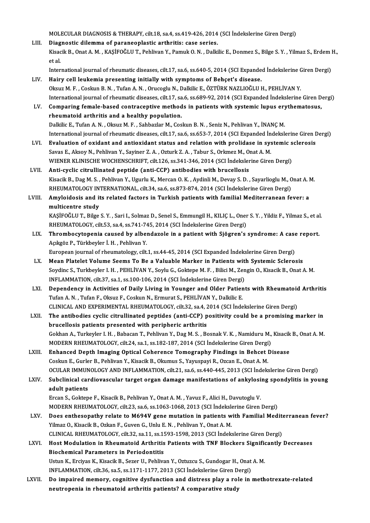MOLECULAR DIAGNOSIS & THERAPY, cilt.18, sa.4, ss.419-426, 2014 (SCI İndekslerine Giren Dergi)<br>Diagnostis dilemma of paranooplastis arthritis: 8260 serics

MOLECULAR DIAGNOSIS & THERAPY, cilt.18, sa.4, ss.419-426, 2014<br>LIII. Diagnostic dilemma of paraneoplastic arthritis: case series.<br>Elisatik B. Opet A.M., KASİFOĞLU T. Bohliyan V. Bamuk O.M., Dalki MOLECULAR DIAGNOSIS & THERAPY, cilt.18, sa.4, ss.419-426, 2014 (SCI İndekslerine Giren Dergi)<br>Di<mark>agnostic dilemma of paraneoplastic arthritis: case series.</mark><br>Kisacik B., Onat A. M. , KAŞİFOĞLU T., Pehlivan Y., Pamuk O. N. , Di<mark>ag</mark><br>Kisac<br>et al. Kisacik B., Onat A. M. , KAŞİFOĞLU T., Pehlivan Y., Pamuk O. N. , Dalkilic E., Donmez S., Bilge S. Y. , Yilmaz S., Erdem l<br>et al.<br>International journal of rheumatic diseases, cilt.17, sa.6, ss.640-5, 2014 (SCI Expanded İnd et al.<br>International journal of rheumatic diseases, cilt.17, sa.6, ss.640-5, 2014 (SCI Expanded Indekslerine Giren Dergi)<br>LIV. Hairy cell leukemia presenting initially with symptoms of Behçet's disease.

International journal of rheumatic diseases, cilt.17, sa.6, ss.640-5, 2014 (SCI Expanded Indekslerine C<br>Hairy cell leukemia presenting initially with symptoms of Behçet's disease.<br>Oksuz M. F. , Coskun B. N. , Tufan A. N. , International journal of rheumatic diseases, cilt.17, sa.6, ss.689-92, 2014 (SCI Expanded İndekslerine Giren Dergi)<br>Comparing female-based contraceptive methods in patients with systemic lupus erythematosus. Oksuz M. F., Coskun B. N., Tufan A. N., Orucoglu N., Dalkilic E., ÖZTÜRK NAZLIOĞLU H., PEHLİVAN Y.<br>International journal of rheumatic diseases, cilt.17, sa.6, ss.689-92, 2014 (SCI Expanded Indekslerine Giren D<br>LV. Comparin

rheumatoid arthritis and a healthy population. Dalkilic E., Tufan A.N., Oksuz M.F., Sahbazlar M., Coskun B.N., Seniz N., Pehlivan Y., İNANÇM. International journal of rheumatic diseases, cilt.17, sa.6, ss.653-7, 2014 (SCI Expanded İndekslerine Giren Dergi)

- LVI. Evaluation of oxidant and antioxidant status and relation with prolidase in systemic sclerosis International journal of rheumatic diseases, cilt.17, sa.6, ss.653-7, 2014 (SCI Expanded İn<br>Evaluation of oxidant and antioxidant status and relation with prolidase in sys<br>Savas E., Aksoy N., Pehlivan Y., Sayiner Z. A. , O WIENER KLINISCHE WOCHENSCHRIFT, cilt.126, ss.341-346, 2014 (SCI İndekslerine Giren Dergi)<br>Anti-cyclic citrullinated peptide (anti-CCP) antibodies with brucellosis Savas E., Aksoy N., Pehlivan Y., Sayiner Z. A. , Ozturk Z. A. , Tabur S., Orkmez M., O.<br>WIENER KLINISCHE WOCHENSCHRIFT, cilt.126, ss.341-346, 2014 (SCI İndeksler<br>LVII. Anti-cyclic citrullinated peptide (anti-CCP) antibodie
- WIENER KLINISCHE WOCHENSCHRIFT, cilt.126, ss.341-346, 2014 (SCI İndekslerine Giren Dergi)<br><mark>Anti-cyclic citrullinated peptide (anti-CCP) antibodies with brucellosis</mark><br>Kisacik B., Dag M. S. , Pehlivan Y., Ugurlu K., Mercan O. Anti-cyclic citrullinated peptide (anti-CCP) antibodies with brucellosis<br>Kisacik B., Dag M. S. , Pehlivan Y., Ugurlu K., Mercan O. K. , Aydinli M., Devay S. D. , Sayarlioglu M., C<br>RHEUMATOLOGY INTERNATIONAL, cilt.34, sa.6, Kisacik B., Dag M. S. , Pehlivan Y., Ugurlu K., Mercan O. K. , Aydinli M., Devay S. D. , Sayarlioglu M., Onat A. I<br>RHEUMATOLOGY INTERNATIONAL, cilt.34, sa.6, ss.873-874, 2014 (SCI İndekslerine Giren Dergi)<br>LVIII. Amyloidos
- RHEUMATOLOGY IN<br>Amyloidosis and it<br>multicentre study<br>KASİFOĞLUT, Bilge Amyloidosis and its related factors in Turkish patients with familial Mediterranean fever: a<br>multicentre study<br>KAŞİFOĞLU T., Bilge S.Y. , Sari I., Solmaz D., Senel S., Emmungil H., KILIÇ L., Oner S.Y. , Yildiz F., Yilmaz S

multicentre study<br>KAŞİFOĞLU T., Bilge S. Y. , Sari I., Solmaz D., Senel S., Emmungil H., KILIÇ L., Oner S. Y. , Yildiz F., Yilmaz S., et al.<br>RHEUMATOLOGY, cilt.53, sa.4, ss.741-745, 2014 (SCI İndekslerine Giren Dergi) KAŞİFOĞLU T., Bilge S. Y. , Sari I., Solmaz D., Senel S., Emmungil H., KILIÇ L., Oner S. Y. , Yildiz F., Yilmaz S., et al<br>RHEUMATOLOGY, cilt.53, sa.4, ss.741-745, 2014 (SCI İndekslerine Giren Dergi)<br>LIX. Thrombocytopenia c

RHEUMATOLOGY, cilt.53, sa.4, ss.741-74<br>Thrombocytopenia caused by alber<br>Açıkgöz P., Türkbeyler İ. H. , Pehlivan Y.<br>Furonean journal of rhoumatology, silt Thrombocytopenia caused by albendazole in a patient with Sjögren's syndrome: A case<br>Açıkgöz P., Türkbeyler İ. H. , Pehlivan Y.<br>European journal of rheumatology, cilt.1, ss.44-45, 2014 (SCI Expanded İndekslerine Giren Dergi

- Açıkgöz P., Türkbeyler İ. H. , Pehlivan Y.<br>European journal of rheumatology, cilt.1, ss.44-45, 2014 (SCI Expanded İndekslerine Giren Dergi)<br>LX. Mean Platelet Volume Seems To Be a Valuable Marker in Patients with Systemic S European journal of rheumatology, cilt.1, ss.44-45, 2014 (SCI Expanded Indekslerine Giren Dergi)<br>Mean Platelet Volume Seems To Be a Valuable Marker in Patients with Systemic Sclerosis<br>Soydinc S., Turkbeyler I. H., PEHLIVAN Mean Platelet Volume Seems To Be a Valuable Marker in Patients with<br>Soydinc S., Turkbeyler I. H. , PEHLİVAN Y., Soylu G., Goktepe M. F. , Bilici M., Zen<br>INFLAMMATION, cilt.37, sa.1, ss.100-106, 2014 (SCI İndekslerine Giren Soydinc S., Turkbeyler I. H. , PEHLİVAN Y., Soylu G., Goktepe M. F. , Bilici M., Zengin O., Kisacik B., Onat A. M.<br>INFLAMMATION, cilt.37, sa.1, ss.100-106, 2014 (SCI İndekslerine Giren Dergi)<br>LXI. Dependency in Activities
- INFLAMMATION, cilt.37, sa.1, ss.100-106, 2014 (SCI İndekslerine Giren Dergi)<br>Dependency in Activities of Daily Living in Younger and Older Patier<br>Tufan A. N., Tufan F., Oksuz F., Coskun N., Ermurat S., PEHLİVAN Y., Dalkili Dependency in Activities of Daily Living in Younger and Older Patients with Rheumatoic<br>Tufan A. N. , Tufan F., Oksuz F., Coskun N., Ermurat S., PEHLİVAN Y., Dalkilic E.<br>CLINICAL AND EXPERIMENTAL RHEUMATOLOGY, cilt.32, sa.4 Tufan A. N. , Tufan F., Oksuz F., Coskun N., Ermurat S., PEHLİVAN Y., Dalkilic E.<br>CLINICAL AND EXPERIMENTAL RHEUMATOLOGY, cilt.32, sa.4, 2014 (SCI İndekslerine Giren Dergi)<br>LXII. The antibodies cyclic citrullinated peptide
- CLINICAL AND EXPERIMENTAL RHEUMATOLOGY, cilt.32, sa.4, 2<br>The antibodies cyclic citrullinated peptides (anti-CCP) p<br>brucellosis patients presented with peripheric arthritis<br>Celthan A. Turkaylar L.H., Pabasan T. Peblium Y. D The antibodies cyclic citrullinated peptides (anti-CCP) positivity could be a promising marker in<br>brucellosis patients presented with peripheric arthritis<br>Gokhan A., Turkeyler I. H. , Babacan T., Pehlivan Y., Dag M. S. , B brucellosis patients presented with peripheric arthritis<br>Gokhan A., Turkeyler I. H. , Babacan T., Pehlivan Y., Dag M. S. , Bosnak V. K. , Namiduru M.,<br>MODERN RHEUMATOLOGY, cilt.24, sa.1, ss.182-187, 2014 (SCI İndekslerine Gokhan A., Turkeyler I. H., Babacan T., Pehlivan Y., Dag M. S., Bosnak V. K., Namiduru M., Kisacik<br>MODERN RHEUMATOLOGY, cilt.24, sa.1, ss.182-187, 2014 (SCI Indekslerine Giren Dergi)<br>LXIII. Enhanced Depth Imaging Optical C
- MODERN RHEUMATOLOGY, cilt.24, sa.1, ss.182-187, 2014 (SCI İndekslerine Giren Dergi)<br>Enhanced Depth Imaging Optical Coherence Tomography Findings in Behcet Disease<br>Coskun E., Gurler B., Pehlivan Y., Kisacik B., Okumus S., Y Enhanced Depth Imaging Optical Coherence Tomography Findings in Behcet Disease<br>Coskun E., Gurler B., Pehlivan Y., Kisacik B., Okumus S., Yayuspayi R., Ozcan E., Onat A. M.<br>OCULAR IMMUNOLOGY AND INFLAMMATION, cilt.21, sa.6, Coskun E., Gurler B., Pehlivan Y., Kisacik B., Okumus S., Yayuspayi R., Ozcan E., Onat A. M.<br>OCULAR IMMUNOLOGY AND INFLAMMATION, cilt.21, sa.6, ss.440-445, 2013 (SCI İndekslerine Giren Dergi)<br>LXIV. Subclinical cardiovascul
- **OCULAR IMMUN<br>Subclinical car<br>adult patients**<br>Freen S. Colten Subclinical cardiovascular target organ damage manifestations of ankylosi<br>adult patients<br>Ercan S., Goktepe F., Kisacik B., Pehlivan Y., Onat A. M. , Yavuz F., Alici H., Davutoglu V.<br>MODERN RHEIJMATOLOCY, silt 22, sa 6, ss

adult patients<br>Ercan S., Goktepe F., Kisacik B., Pehlivan Y., Onat A. M. , Yavuz F., Alici H., Davutoglu V.<br>MODERN RHEUMATOLOGY, cilt.23, sa.6, ss.1063-1068, 2013 (SCI İndekslerine Giren Dergi)<br>Dess enthesenathy relate te

- Ercan S., Goktepe F., Kisacik B., Pehlivan Y., Onat A. M. , Yavuz F., Alici H., Davutoglu V.<br>MODERN RHEUMATOLOGY, cilt.23, sa.6, ss.1063-1068, 2013 (SCI İndekslerine Giren Dergi)<br>LXV. Does enthesopathy relate to M694V gene MODERN RHEUMATOLOGY, cilt.23, sa.6, ss.1063-1068, 2013 (SCI Indekslerine Giren Dergi)<br>Does enthesopathy relate to M694V gene mutation in patients with Familial Med<br>Yilmaz O., Kisacik B., Ozkan F., Guven G., Unlu E.N., Pehl Does enthesopathy relate to M694V gene mutation in patients with Familial Medite<br>Yilmaz O., Kisacik B., Ozkan F., Guven G., Unlu E. N. , Pehlivan Y., Onat A. M.<br>CLINICAL RHEUMATOLOGY, cilt.32, sa.11, ss.1593-1598, 2013 (SC CLINICAL RHEUMATOLOGY, cilt.32, sa.11, ss.1593-1598, 2013 (SCI Indekslerine Giren Dergi)
- LXVI. Host Modulation in Rheumatoid Arthritis Patients with TNF Blockers Significantly Decreases<br>Biochemical Parameters in Periodontitis Host Modulation in Rheumatoid Arthritis Patients with TNF Blockers Signific<br>Biochemical Parameters in Periodontitis<br>Ustun K., Erciyas K., Kisacik B., Sezer U., Pehlivan Y., Oztuzcu S., Gundogar H., Onat A. M.<br>INELAMMATION Biochemical Parameters in Periodontitis<br>Ustun K., Erciyas K., Kisacik B., Sezer U., Pehlivan Y., Oztuzcu S., Gundogar H., Onat<br>INFLAMMATION, cilt.36, sa.5, ss.1171-1177, 2013 (SCI İndekslerine Giren Dergi)<br>De imnained meme Ustun K., Erciyas K., Kisacik B., Sezer U., Pehlivan Y., Oztuzcu S., Gundogar H., Onat A. M.<br>INFLAMMATION, cilt.36, sa.5, ss.1171-1177, 2013 (SCI Indekslerine Giren Dergi)<br>LXVII. Do impaired memory, cognitive dysfunction a
- INFLAMMATION, cilt.36, sa.5, ss.1171-1177, 2013 (SCI İndekslerine Giren D<br>Do impaired memory, cognitive dysfunction and distress play a rol<br>neutropenia in rheumatoid arthritis patients? A comparative study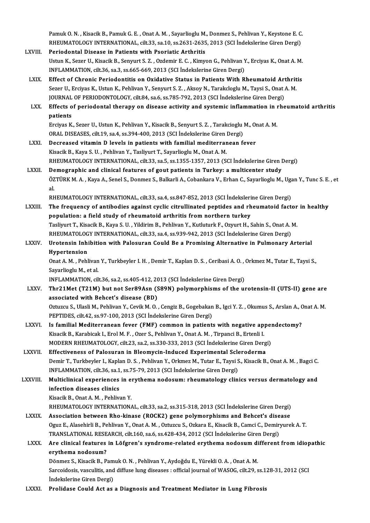Pamuk O. N. , Kisacik B., Pamuk G. E. , Onat A. M. , Sayarlioglu M., Donmez S., Pehlivan Y., Keystone E. C.<br>RHEUMATOLOGY INTERNATIONAL , silt 22, 82.10, 82.2621, 2625, 2012, (SCL Indekslerine Ciren Dersi) Pamuk O. N. , Kisacik B., Pamuk G. E. , Onat A. M. , Sayarlioglu M., Donmez S., Pehlivan Y., Keystone E. C.<br>RHEUMATOLOGY INTERNATIONAL, cilt.33, sa.10, ss.2631-2635, 2013 (SCI İndekslerine Giren Dergi)<br>Periadental Disease Pamuk O. N., Kisacik B., Pamuk G. E., Onat A. M., Sayarlioglu M.<br>RHEUMATOLOGY INTERNATIONAL, cilt.33, sa.10, ss.2631-2635<br>LXVIII. Periodontal Disease in Patients with Psoriatic Arthritis

- RHEUMATOLOGY INTERNATIONAL, cilt.33, sa.10, ss.2631-2635, 2013 (SCI İndekslerine Giren Dergi)<br>Periodontal Disease in Patients with Psoriatic Arthritis<br>Ustun K., Sezer U., Kisacik B., Senyurt S. Z. , Ozdemir E. C. , Kimyon Periodontal Disease in Patients with Psoriatic Arthritis<br>Ustun K., Sezer U., Kisacik B., Senyurt S. Z. , Ozdemir E. C. , Kimyon G., Pehlivan Y<br>INFLAMMATION, cilt.36, sa.3, ss.665-669, 2013 (SCI İndekslerine Giren Dergi)<br>Ef LXIX. Effect of Chronic Periodontitis on Oxidative Status in PatientsWith Rheumatoid Arthritis
- INFLAMMATION, cilt.36, sa.3, ss.665-669, 2013 (SCI İndekslerine Giren Dergi)<br>Effect of Chronic Periodontitis on Oxidative Status in Patients With Rheumatoid Arthrit<br>Sezer U., Erciyas K., Ustun K., Pehlivan Y., Senyurt S. Z Effect of Chronic Periodontitis on Oxidative Status in Patients With Rheumatoid Art<br>Sezer U., Erciyas K., Ustun K., Pehlivan Y., Senyurt S. Z. , Aksoy N., Tarakcloglu M., Taysi S., Onat .<br>JOURNAL OF PERIODONTOLOGY, cilt.84 LXX. Effects of periodontal therapy on disease activity and systemic inflammation in rheumatoid arthritis
- patients Effects of periodontal therapy on disease activity and systemic inflammation in l<br>patients<br>Erciyas K., Sezer U., Ustun K., Pehlivan Y., Kisacik B., Senyurt S. Z. , Tarakcioglu M., Onat A. M.<br>OPAL DISEASES, si<sup>1</sup>t 19, se 4,

```
patients<br>Erciyas K., Sezer U., Ustun K., Pehlivan Y., Kisacik B., Senyurt S. Z. , Tarakcioglu ]<br>ORAL DISEASES, cilt.19, sa.4, ss.394-400, 2013 (SCI İndekslerine Giren Dergi)<br>Desreeseed uitamin D. levels in patients with fa
Erciyas K., Sezer U., Ustun K., Pehlivan Y., Kisacik B., Senyurt S. Z., Tarakcioglu M., Or ORAL DISEASES, cilt.19, sa.4, ss.394-400, 2013 (SCI Indekslerine Giren Dergi)<br>LXXI. Decreased vitamin D levels in patients with fam
```
- ORAL DISEASES, cilt.19, sa.4, ss.394-400, 2013 (SCI İndekslerine Giren Dergi)<br>Decreased vitamin D levels in patients with familial mediterranean fever<br>Kisacik B., Kaya S. U., Pehlivan Y., Tasliyurt T., Sayarlioglu M., Onat Decreased vitamin D levels in patients with familial mediterranean fever<br>Kisacik B., Kaya S. U. , Pehlivan Y., Tasliyurt T., Sayarlioglu M., Onat A. M.<br>RHEUMATOLOGY INTERNATIONAL, cilt.33, sa.5, ss.1355-1357, 2013 (SCI İnd Kisacik B., Kaya S. U., Pehlivan Y., Tasliyurt T., Sayarlioglu M., Onat A. M.<br>RHEUMATOLOGY INTERNATIONAL, cilt.33, sa.5, ss.1355-1357, 2013 (SCI Indekslerine Giren I<br>LXXII. Demographic and clinical features of gout patient
- RHEUMATOLOGY INTERNATIONAL, cilt.33, sa.5, ss.1355-1357, 2013 (SCI İndekslerine Giren Dergi)<br><mark>Demographic and clinical features of gout patients in Turkey: a multicenter study</mark><br>ÖZTÜRK M. A. , Kaya A., Senel S., Donmez S., De<br>ÖZ<br>DE ÖZTÜRK M. A. , Kaya A., Senel S., Donmez S., Balkarli A., Cobankara V., Erhan C., Sayarlioglu M., Uga<br>al.<br>RHEUMATOLOGY INTERNATIONAL, cilt.33, sa.4, ss.847-852, 2013 (SCI İndekslerine Giren Dergi)<br>The frequency of antibadi al.<br>RHEUMATOLOGY INTERNATIONAL, cilt.33, sa.4, ss.847-852, 2013 (SCI İndekslerine Giren Dergi)<br>LXXIII. The frequency of antibodies against cyclic citrullinated peptides and rheumatoid factor in healthy<br>repulation: a fi

- RHEUMATOLOGY INTERNATIONAL, cilt.33, sa.4, ss.847-852, 2013 (SCI İndeksleri<br>The frequency of antibodies against cyclic citrullinated peptides and rh<br>population: a field study of rheumatoid arthritis from northern turkey<br>Te The frequency of antibodies against cyclic citrullinated peptides and rheumatoid factor<br>population: a field study of rheumatoid arthritis from northern turkey<br>Tasliyurt T., Kisacik B., Kaya S. U. , Yildirim B., Pehlivan Y. population: a field study of rheumatoid arthritis from northern turkey<br>Tasliyurt T., Kisacik B., Kaya S. U. , Yildirim B., Pehlivan Y., Kutluturk F., Ozyurt H., Sahin S., Onat A. M.<br>RHEUMATOLOGY INTERNATIONAL, cilt.33, sa. Tasliyurt T., Kisacik B., Kaya S. U. , Yildirim B., Pehlivan Y., Kutluturk F., Ozyurt H., Sahin S., Onat A. M.<br>RHEUMATOLOGY INTERNATIONAL, cilt.33, sa.4, ss.939-942, 2013 (SCI İndekslerine Giren Dergi)<br>LXXIV. Urotensin Inh
- RHEUMATOLOG<br>Urotensin Inhi<br>Hypertension<br>Opat A M Pobl Urotensin Inhibition with Palosuran Could Be a Promising Alternative in Pulmonary Arterial<br>Hypertension<br>Onat A. M. , Pehlivan Y., Turkbeyler I. H. , Demir T., Kaplan D. S. , Ceribasi A. O. , Orkmez M., Tutar E., Taysi S.,<br>

Hypertension<br>Onat A. M. , Pehlivan<br>Sayarlioglu M., et al.<br>INELAMMATION Onat A. M. , Pehlivan Y., Turkbeyler I. H. , Demir T., Kaplan D. S. , Ceribasi A. O. , Gorial Sayarlioglu M., et al.<br>1939 - Sayarlioglu M., et al.<br>INFLAMMATION, cilt.36, sa.2, ss.405-412, 2013 (SCI İndekslerine Giren Dergi

- Sayarlioglu M., et al.<br>INFLAMMATION, cilt.36, sa.2, ss.405-412, 2013 (SCI İndekslerine Giren Dergi)<br>LXXV. Thr21Met (T21M) but not Ser89Asn (S89N) polymorphisms of the urotensin-II (UTS-II) gene are INFLAMMATION, cilt.36, sa.2, ss.405-412, 20<br>Thr21Met (T21M) but not Ser89Asn (S<br>associated with Behcet's disease (BD) Thr21Met (T21M) but not Ser89Asn (S89N) polymorphisms of the urotensin-II (UTS-II) gene are<br>associated with Behcet's disease (BD)<br>Oztuzcu S., Ulasli M., Pehlivan Y., Cevik M. O. , Cengiz B., Gogebakan B., Igci Y. Z. , Okum associated with Behcet's disease (BD)<br>Oztuzcu S., Ulasli M., Pehlivan Y., Cevik M. O. , Cengiz B., Gogebakan B., Igci Y. Z. , Okumus S., Arslan A., Onat A. M.<br>PEPTIDES, cilt.42, ss.97-100, 2013 (SCI İndekslerine Giren Derg Oztuzcu S., Ulasli M., Pehlivan Y., Cevik M. O. , Cengiz B., Gogebakan B., Igci Y. Z. , Okumus S., Arslan A., C<br>PEPTIDES, cilt.42, ss.97-100, 2013 (SCI Indekslerine Giren Dergi)<br>LXXVI. Is familial Mediterranean fever (FMF)
- PEPTIDES, cilt.42, ss.97-100, 2013 (SCI İndekslerine Giren Dergi)<br>Is familial Mediterranean fever (FMF) common in patients with negative app<br>Kisacik B., Karabicak I., Erol M. F. , Ozer S., Pehlivan Y., Onat A. M. , Tirpanc Is familial Mediterranean fever (FMF) common in patients with negative apper<br>Kisacik B., Karabicak I., Erol M. F. , Ozer S., Pehlivan Y., Onat A. M. , Tirpanci B., Ertenli I.<br>MODERN RHEUMATOLOGY, cilt.23, sa.2, ss.330-333, Kisacik B., Karabicak I., Erol M. F. , Ozer S., Pehlivan Y., Onat A. M. , Tirpanci B., Ertenli I.<br>MODERN RHEUMATOLOGY, cilt.23, sa.2, ss.330-333, 2013 (SCI İndekslerine Giren Dergi)<br>LXXVII. Effectiveness of Palosuran in Bl
- MODERN RHEUMATOLOGY, cilt.23, sa.2, ss.330-333, 2013 (SCI İndekslerine Giren Dergi)<br>Effectiveness of Palosuran in Bleomycin-Induced Experimental Scleroderma<br>Demir T., Turkbeyler I., Kaplan D. S. , Pehlivan Y., Orkmez M., T Effectiveness of Palosuran in Bleomycin-Induced Experimental Scle<br>Demir T., Turkbeyler I., Kaplan D. S. , Pehlivan Y., Orkmez M., Tutar E., Taysi S<br>INFLAMMATION, cilt.36, sa.1, ss.75-79, 2013 (SCI İndekslerine Giren Dergi) Demir T., Turkbeyler I., Kaplan D. S. , Pehlivan Y., Orkmez M., Tutar E., Taysi S., Kisacik B., Onat A. M. , Bagci C.<br>INFLAMMATION, cilt.36, sa.1, ss.75-79, 2013 (SCI İndekslerine Giren Dergi)<br>LXXVIII. Multiclinical experi

INFLAMMATION, cilt.36, sa.1<br>Multiclinical experiences<br>infection diseases clinics<br><sup>Vicacil: B.</sup> Opat A. M. Boblive Multiclinical experiences in erythema nodosum: rheumatology clinics versus dermatology and infection diseases clinics<br>Kisacik B., Onat A. M. , Pehlivan Y.

RHEUMATOLOGYINTERNATIONAL, cilt.33, sa.2, ss.315-318,2013 (SCI İndekslerineGirenDergi)

Kisacik B., Onat A. M., Pehlivan Y.<br>RHEUMATOLOGY INTERNATIONAL, cilt.33, sa.2, ss.315-318, 2013 (SCI Indekslerine Giren Dergi)<br>LXXIX. Association between Rho-kinase (ROCK2) gene polymorphisms and Behcet's disease OguzE.,AlasehirliB.,PehlivanY.,OnatA.M. ,Oztuzcu S.,OzkaraE.,KisacikB.,CamciC.,DemiryurekA.T. Association between Rho-kinase (ROCK2) gene polymorphisms and Behcet's dise<br>Oguz E., Alasehirli B., Pehlivan Y., Onat A. M. , Oztuzcu S., Ozkara E., Kisacik B., Camci C., Demir<br>TRANSLATIONAL RESEARCH, cilt.160, sa.6, ss.42 TRANSLATIONAL RESEARCH, cilt.160, sa.6, ss.428-434, 2012 (SCI Indekslerine Giren Dergi)

## LXXX. Are clinical features in Löfgren's syndrome-related erythema nodosum different from idiopathic<br>erythema nodosum? Are clinical features in Löfgren's syndrome-related erythema nodosum di<br>erythema nodosum?<br>Dönmez S., Kisacik B., Pamuk O.N. , Pehlivan Y., Aydoğdu E., Yürekli O.A. , Onat A. M.<br>Sarsaidasis vassulitis and diffuse lung disea

Sarcoidosis, vasculitis, and diffuse lung diseases : official journal of WASOG, cilt.29, ss.128-31, 2012 (SCI Indekslerine Giren Dergi) Dönmez S., Kisacik B., Pam<br>Sarcoidosis, vasculitis, and<br>İndekslerine Giren Dergi)<br>Prolidase Could Ast as

LXXXI. Prolidase Could Act as a Diagnosis and Treatment Mediator in Lung Fibrosis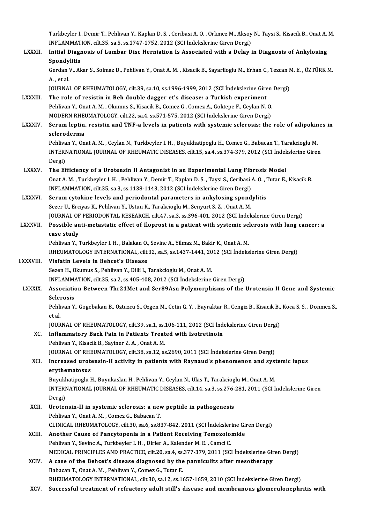Turkbeyler I., Demir T., Pehlivan Y., Kaplan D. S. , Ceribasi A. O. , Orkmez M., Aksoy N., Taysi S., Kisacik B., Onat A. M.<br>INELAMMATION, silt 35, 89,5, 89,1747,1752, 2012 (SCLI Indekslarine Giren Dengi) Turkbeyler I., Demir T., Pehlivan Y., Kaplan D. S. , Ceribasi A. O. , Orkmez M., Aksoy<br>INFLAMMATION, cilt.35, sa.5, ss.1747-1752, 2012 (SCI İndekslerine Giren Dergi)<br>Initial Diagnosis of Lumber Diss Hornistion Is Assosiate Turkbeyler I., Demir T., Pehlivan Y., Kaplan D. S. , Ceribasi A. O. , Orkmez M., Aksoy N., Taysi S., Kisacik B., Onat A.<br>INFLAMMATION, cilt.35, sa.5, ss.1747-1752, 2012 (SCI İndekslerine Giren Dergi)<br>LXXXII. Initial Diagno INFLAMMATION, cilt.35, sa.5, ss.1747-1752, 2012 (SCI Indekslerine Giren Dergi)<br>Initial Diagnosis of Lumbar Disc Herniation Is Associated with a Delay in Diagnosis of Ankylosing<br>Spondylitis Initial Diagnosis of Lumbar Disc Herniation Is Associated with a Delay in Diagnosis of Ankylosing<br>Spondylitis<br>Gerdan V., Akar S., Solmaz D., Pehlivan Y., Onat A. M. , Kisacik B., Sayarlioglu M., Erhan C., Tezcan M. E. , ÖZ Spondy<br>Gerdan<br>A. , et al.<br>IOUPNA! Gerdan V., Akar S., Solmaz D., Pehlivan Y., Onat A. M. , Kisacik B., Sayarlioglu M., Erhan C., Tezcan N.<br>A. , et al.<br>JOURNAL OF RHEUMATOLOGY, cilt.39, sa.10, ss.1996-1999, 2012 (SCI İndekslerine Giren Dergi)<br>The role of re A., et al.<br>JOURNAL OF RHEUMATOLOGY, cilt.39, sa.10, ss.1996-1999, 2012 (SCI Indekslerine Gire<br>LXXXIII. The role of resistin in Beh double dagger et's disease: a Turkish experiment<br>Replium V. Onat A.M., Olamus S. Kisasik B. JOURNAL OF RHEUMATOLOGY, cilt.39, sa.10, ss.1996-1999, 2012 (SCI İndekslerine Giren<br>The role of resistin in Beh double dagger et's disease: a Turkish experiment<br>Pehlivan Y., Onat A. M. , Okumus S., Kisacik B., Comez G., Co The role of resistin in Beh double dagger et's disease: a Turkish experiment<br>Pehlivan Y., Onat A. M., Okumus S., Kisacik B., Comez G., Comez A., Goktepe F., Cevlan N. O. Pehlivan Y., Onat A. M. , Okumus S., Kisacik B., Comez G., Comez A., Goktepe F., Ceylan N. O.<br>MODERN RHEUMATOLOGY, cilt.22, sa.4, ss.571-575, 2012 (SCI Indekslerine Giren Dergi)<br>LXXXIV. Serum leptin, resistin and TNF-a lev MODERN RHEUMATOLOGY, cilt.22, sa.4, ss.571-575, 2012 (SCI İndekslerine Giren Dergi)<br>Serum leptin, resistin and TNF-a levels in patients with systemic sclerosis: the role of adipokin<br>scleroderma<br>Pehlivan Y., Onat A. M. , Ce Serum leptin, resistin and TNF-a levels in patients with systemic sclerosis: the role of adipokin<br>scleroderma<br>Pehlivan Y., Onat A. M. , Ceylan N., Turkbeyler I. H. , Buyukhatipoglu H., Comez G., Babacan T., Tarakcioglu M<br>I scleroderma<br>Pehlivan Y., Onat A. M. , Ceylan N., Turkbeyler I. H. , Buyukhatipoglu H., Comez G., Babacan T., Tarakcioglu M<br>INTERNATIONAL JOURNAL OF RHEUMATIC DISEASES, cilt.15, sa.4, ss.374-379, 2012 (SCI İndekslerine Gire Pehliva<br>INTERI<br>Dergi)<br>The Ff INTERNATIONAL JOURNAL OF RHEUMATIC DISEASES, cilt.15, sa.4, ss.374-379, 2012 (SCI Indel<br>Dergi)<br>LXXXV. The Efficiency of a Urotensin II Antagonist in an Experimental Lung Fibrosis Model Dergi)<br>The Efficiency of a Urotensin II Antagonist in an Experimental Lung Fibrosis Model<br>Onat A. M. , Turkbeyler I. H. , Pehlivan Y., Demir T., Kaplan D. S. , Taysi S., Ceribasi A. O. , Tutar E., Kisacik B.<br>INFLAMMATION, The Efficiency of a Urotensin II Antagonist in an Experimental Lung Fibrosis Model Onat A. M., Turkbeyler I. H., Pehlivan Y., Demir T., Kaplan D. S., Taysi S., Ceribasi A. O., T<br>INFLAMMATION, cilt.35, sa.3, ss.1138-1143, 2012 (SCI İndekslerine Giren Dergi)<br>LXXXVI. Serum cytokine levels and periodontal pa INFLAMMATION, cilt.35, sa.3, ss.1138-1143, 2012 (SCI Indekslerine Giren Dergi)<br>Serum cytokine levels and periodontal parameters in ankylosing spond<br>Sezer U., Erciyas K., Pehlivan Y., Ustun K., Tarakcioglu M., Senyurt S. Z. Serum cytokine levels and periodontal parameters in ankylosing spondylitis<br>Sezer U., Erciyas K., Pehlivan Y., Ustun K., Tarakcioglu M., Senyurt S. Z. , Onat A. M.<br>JOURNAL OF PERIODONTAL RESEARCH, cilt.47, sa.3, ss.396-401, Sezer U., Erciyas K., Pehlivan Y., Ustun K., Tarakcioglu M., Senyurt S. Z. , Onat A. M.<br>JOURNAL OF PERIODONTAL RESEARCH, cilt.47, sa.3, ss.396-401, 2012 (SCI Indekslerine Giren Dergi)<br>LXXXVII. Possible anti-metastatic effe JOURNAL OF<br>Possible an<br>case study<br>Poblivan Y Pehlivan Y., Turkbeyler I.H., Balakan O., Sevinc A., Yilmaz M., Bakir K., Onat A.M. case study<br>Pehlivan Y., Turkbeyler I. H. , Balakan O., Sevinc A., Yilmaz M., Bakir K., Onat A. M.<br>RHEUMATOLOGY INTERNATIONAL, cilt.32, sa.5, ss.1437-1441, 2012 (SCI İndekslerine Giren Dergi)<br>Visfatin Lavels in Bebeet's Dis Pehlivan Y., Turkbeyler I. H., Balakan O.<br>RHEUMATOLOGY INTERNATIONAL, cilt.<br>LXXXVIII. Visfatin Levels in Behcet's Disease RHEUMATOLOGY INTERNATIONAL, cilt.32, sa.5, ss.1437-1441, 20<br>Visfatin Levels in Behcet's Disease<br>Sezen H., Okumus S., Pehlivan Y., Dilli I., Tarakcioglu M., Onat A. M.<br>INELAMMATION, silt.35, ss.2, ss.405, 409, 2012, (SSL In Visfatin Levels in Behcet's Disease<br>Sezen H., Okumus S., Pehlivan Y., Dilli I., Tarakcioglu M., Onat A. M.<br>INFLAMMATION, cilt.35, sa.2, ss.405-408, 2012 (SCI İndekslerine Giren Dergi) Sezen H., Okumus S., Pehlivan Y., Dilli I., Tarakcioglu M., Onat A. M.<br>INFLAMMATION, cilt.35, sa.2, ss.405-408, 2012 (SCI İndekslerine Giren Dergi)<br>LXXXIX. Association Between Thr21Met and Ser89Asn Polymorphisms of the Uro INFLAMM<br>Association<br>Sclerosis<br>Poblivan V Association Between Thr21Met and Ser89Asn Polymorphisms of the Urotensin II Gene and Systemic<br>Sclerosis<br>Pehlivan Y., Gogebakan B., Oztuzcu S., Ozgen M., Cetin G.Y. , Bayraktar R., Cengiz B., Kisacik B., Koca S.S. , Donmez Sclerosis<br>Pehlivan Y., Gogebakan B., Oztuzcu S., Ozgen M., Cetin G. Y. , Bayraktar R., Cengiz B., Kisacik B., Koca S. S. , Donmez S.,<br>et al. Pehlivan Y., Gogebakan B., Oztuzcu S., Ozgen M., Cetin G. Y. , Bayraktar R., Cengiz B., Kisacik B.,<br>et al.<br>JOURNAL OF RHEUMATOLOGY, cilt.39, sa.1, ss.106-111, 2012 (SCI İndekslerine Giren Dergi)<br>Inflammatary Bask Bain in B et al.<br>JOURNAL OF RHEUMATOLOGY, cilt.39, sa.1, ss.106-111, 2012 (SCI Index XC.<br>XC. Inflammatory Back Pain in Patients Treated with Isotretinoin JOURNAL OF RHEUMATOLOGY, cilt.39, sa.1, ss.1<br>I**nflammatory Back Pain in Patients Treat**<br>Pehlivan Y., Kisacik B., Sayiner Z. A. , Onat A. M.<br>JOURNAL OF PHEUMATOLOGY, silt 38, sa.13, ss I<mark>nflammatory Back Pain in Patients Treated with Isotretinoin</mark><br>Pehlivan Y., Kisacik B., Sayiner Z. A. , Onat A. M.<br>JOURNAL OF RHEUMATOLOGY, cilt.38, sa.12, ss.2690, 2011 (SCI İndekslerine Giren Dergi)<br>Inaxessed unstansin I Pehlivan Y., Kisacik B., Sayiner Z. A. , Onat A. M.<br>JOURNAL OF RHEUMATOLOGY, cilt.38, sa.12, ss.2690, 2011 (SCI İndekslerine Giren Dergi)<br>XCI. Increased urotensin-II activity in patients with Raynaud's phenomenon and s **JOURNAL OF RHE<br>Increased urote<br>erythematosus**<br>Pumkhatinoslu I Increased urotensin-II activity in patients with Raynaud's phenomenon and systemythematosus<br>Buyukhatipoglu H., Buyukaslan H., Pehlivan Y., Ceylan N., Ulas T., Tarakcioglu M., Onat A. M.<br>INTERNATIONAL JOURNAL OF RHEUMATIC D er**ythematosus**<br>Buyukhatipoglu H., Buyukaslan H., Pehlivan Y., Ceylan N., Ulas T., Tarakcioglu M., Onat A. M.<br>INTERNATIONAL JOURNAL OF RHEUMATIC DISEASES, cilt.14, sa.3, ss.276-281, 2011 (SCI İndekslerine Giren<br>Dergi) Buyukhatipoglu H., Buyukaslan H., Pehlivan Y., Ceylan N., Ulas T., Tarakcioglu M., Onat A. M. INTERNATIONAL JOURNAL OF RHEUMATIC DISEASES, cilt.14, sa.3, ss.276-<br>Dergi)<br>XCII. Urotensin-II in systemic sclerosis: a new peptide in pathogenesis<br>Reblium Y. Opat A.M. Comer C. Bebasan T. Dergi)<br>Urotensin-II in systemic sclerosis: a nev<br>Pehlivan Y., Onat A. M. , Comez G., Babacan T.<br>CLINICAL PHEUMATOLOCY silt 30, sa 6, sa 83 Urotensin-II in systemic sclerosis: a new peptide in pathogenesis<br>Pehlivan Y., Onat A. M. , Comez G., Babacan T.<br>CLINICAL RHEUMATOLOGY, cilt.30, sa.6, ss.837-842, 2011 (SCI İndekslerine Giren Dergi)<br>Anathar Cause of Bangut Pehlivan Y., Onat A. M. , Comez G., Babacan T.<br>CLINICAL RHEUMATOLOGY, cilt.30, sa.6, ss.837-842, 2011 (SCI İndekslerine Gir<br>XCIII. Another Cause of Pancytopenia in a Patient Receiving Temozolomide<br>Rekliven V. Sevine A. Tur CLINICAL RHEUMATOLOGY, cilt.30, sa.6, ss.837-842, 2011 (SCI İndeksler<br>Another Cause of Pancytopenia in a Patient Receiving Temozolo:<br>Pehlivan Y., Sevinc A., Turkbeyler I. H. , Dirier A., Kalender M. E. , Camci C.<br>MEDICAL P Another Cause of Pancytopenia in a Patient Receiving Temozolomide<br>Pehlivan Y., Sevinc A., Turkbeyler I. H. , Dirier A., Kalender M. E. , Camci C.<br>MEDICAL PRINCIPLES AND PRACTICE, cilt.20, sa.4, ss.377-379, 2011 (SCI İndeks Pehlivan Y., Sevinc A., Turkbeyler I. H. , Dirier A., Kalender M. E. , Camci C.<br>MEDICAL PRINCIPLES AND PRACTICE, cilt.20, sa.4, ss.377-379, 2011 (SCI Indekslerine Gir<br>XCIV. A case of the Behcet's disease diagnosed by the p MEDICAL PRINCIPLES AND PRACTICE, cilt.20, sa.4, ss.<br>A case of the Behcet's disease diagnosed by the<br>Babacan T., Onat A. M. , Pehlivan Y., Comez G., Tutar E. RHEUMATOLOGYINTERNATIONAL, cilt.30, sa.12, ss.1657-1659,2010 (SCI İndekslerineGirenDergi) XCV. Successful treatment of refractory adult stil 's disease andmembranous glomerulonephritis with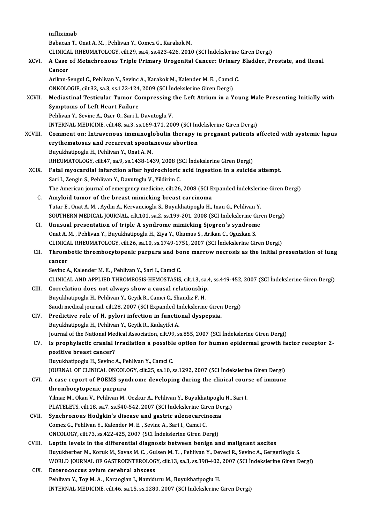|             | infliximab                                                                                                                                  |
|-------------|---------------------------------------------------------------------------------------------------------------------------------------------|
|             | Babacan T., Onat A. M., Pehlivan Y., Comez G., Karakok M.                                                                                   |
|             | CLINICAL RHEUMATOLOGY, cilt.29, sa.4, ss.423-426, 2010 (SCI Indekslerine Giren Dergi)                                                       |
| XCVI.       | A Case of Metachronous Triple Primary Urogenital Cancer: Urinary Bladder, Prostate, and Renal<br>Cancer                                     |
|             | Arikan-Sengul C., Pehlivan Y., Sevinc A., Karakok M., Kalender M. E., Camci C.                                                              |
|             | ONKOLOGIE, cilt.32, sa.3, ss.122-124, 2009 (SCI İndekslerine Giren Dergi)                                                                   |
| XCVII.      | Mediastinal Testicular Tumor Compressing the Left Atrium in a Young Male Presenting Initially with<br><b>Symptoms of Left Heart Failure</b> |
|             | Pehlivan Y., Sevinc A., Ozer O., Sari I., Davutoglu V.                                                                                      |
|             | INTERNAL MEDICINE, cilt.48, sa.3, ss.169-171, 2009 (SCI İndekslerine Giren Dergi)                                                           |
| XCVIII.     | Comment on: Intravenous immunoglobulin therapy in pregnant patients affected with systemic lupus                                            |
|             | erythematosus and recurrent spontaneous abortion                                                                                            |
|             | Buyukhatipoglu H., Pehlivan Y., Onat A. M.                                                                                                  |
|             | RHEUMATOLOGY, cilt.47, sa.9, ss.1438-1439, 2008 (SCI İndekslerine Giren Dergi)                                                              |
| <b>XCIX</b> | Fatal myocardial infarction after hydrochloric acid ingestion in a suicide attempt.                                                         |
|             | Sari I., Zengin S., Pehlivan Y., Davutoglu V., Yildirim C.                                                                                  |
|             | The American journal of emergency medicine, cilt.26, 2008 (SCI Expanded Indekslerine Giren Dergi)                                           |
| C.          | Amyloid tumor of the breast mimicking breast carcinoma                                                                                      |
|             | Tutar E., Onat A. M., Aydin A., Kervancioglu S., Buyukhatipoglu H., Inan G., Pehlivan Y.                                                    |
|             | SOUTHERN MEDICAL JOURNAL, cilt.101, sa.2, ss.199-201, 2008 (SCI İndekslerine Giren Dergi)                                                   |
| CI.         | Unusual presentation of triple A syndrome mimicking Sjogren's syndrome                                                                      |
|             | Onat A. M., Pehlivan Y., Buyukhatipoglu H., Ziya Y., Okumus S., Arikan C., Oguzkan S.                                                       |
|             | CLINICAL RHEUMATOLOGY, cilt.26, sa.10, ss.1749-1751, 2007 (SCI Indekslerine Giren Dergi)                                                    |
| CII.        | Thrombotic thrombocytopenic purpura and bone marrow necrosis as the initial presentation of lung                                            |
|             | cancer                                                                                                                                      |
|             | Sevinc A., Kalender M. E., Pehlivan Y., Sari I., Camci C.                                                                                   |
|             | CLINICAL AND APPLIED THROMBOSIS-HEMOSTASIS, cilt.13, sa.4, ss.449-452, 2007 (SCI Indekslerine Giren Dergi)                                  |
| CHI.        | Correlation does not always show a causal relationship.                                                                                     |
|             | Buyukhatipoglu H., Pehlivan Y., Geyik R., Camci C., Shandiz F. H.                                                                           |
|             | Saudi medical journal, cilt.28, 2007 (SCI Expanded İndekslerine Giren Dergi)                                                                |
| CIV.        | Predictive role of H. pylori infection in functional dyspepsia.                                                                             |
|             | Buyukhatipoglu H., Pehlivan Y., Geyik R., Kadayifci A.                                                                                      |
|             | Journal of the National Medical Association, cilt.99, ss.855, 2007 (SCI Indekslerine Giren Dergi)                                           |
| CV.         | Is prophylactic cranial irradiation a possible option for human epidermal growth factor receptor 2-                                         |
|             | positive breast cancer?                                                                                                                     |
|             | Buyukhatipoglu H., Sevinc A., Pehlivan Y., Camci C.                                                                                         |
| CVI.        | JOURNAL OF CLINICAL ONCOLOGY, cilt.25, sa.10, ss.1292, 2007 (SCI Indekslerine Giren Dergi)                                                  |
|             | A case report of POEMS syndrome developing during the clinical course of immune<br>thrombocytopenic purpura                                 |
|             | Yilmaz M., Okan V., Pehlivan M., Oezkur A., Pehlivan Y., Buyukhatipoglu H., Sari I.                                                         |
|             | PLATELETS, cilt.18, sa.7, ss.540-542, 2007 (SCI İndekslerine Giren Dergi)                                                                   |
| CVII.       | Synchronous Hodgkin's disease and gastric adenocarcinoma                                                                                    |
|             | Comez G., Pehlivan Y., Kalender M. E., Sevinc A., Sari I., Camci C.                                                                         |
|             | ONCOLOGY, cilt.73, ss.422-425, 2007 (SCI İndekslerine Giren Dergi)                                                                          |
| CVIII.      | Leptin levels in the differential diagnosis between benign and malignant ascites                                                            |
|             | Buyukberber M., Koruk M., Savas M. C., Gulsen M. T., Pehlivan Y., Deveci R., Sevinc A., Gergerlioglu S.                                     |
|             | WORLD JOURNAL OF GASTROENTEROLOGY, cilt.13, sa.3, ss.398-402, 2007 (SCI Indekslerine Giren Dergi)                                           |
| CIX.        | Enterococcus avium cerebral abscess                                                                                                         |
|             | Pehlivan Y., Toy M. A., Karaoglan I., Namiduru M., Buyukhatipoglu H.                                                                        |
|             | INTERNAL MEDICINE, cilt.46, sa.15, ss.1280, 2007 (SCI İndekslerine Giren Dergi)                                                             |
|             |                                                                                                                                             |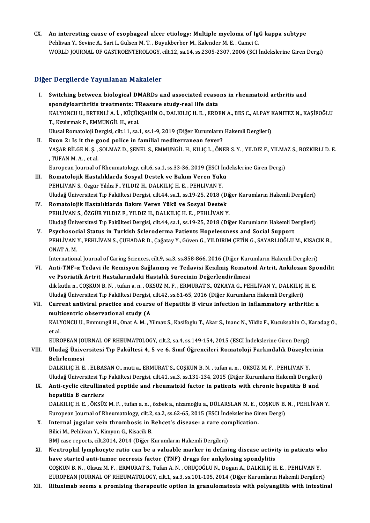CX. An interesting cause of esophageal ulcer etiology: Multiple myeloma of IgG kappa subtype<br>Rebliver V, Soving A, Sari L Culsen M, T, Buvultherber M, Kelender M, E, Camei C, An interesting cause of esophageal ulcer etiology: Multiple myeloma of Ig<br>Pehlivan Y., Sevinc A., Sari I., Gulsen M. T. , Buyukberber M., Kalender M. E. , Camci C.<br>WORLD JOURNAL OF CASTROENTEROLOCY, si<sup>1</sup>t 12, 28.14, 28.22 An interesting cause of esophageal ulcer etiology: Multiple myeloma of IgG kappa subtype<br>Pehlivan Y., Sevinc A., Sari I., Gulsen M. T. , Buyukberber M., Kalender M. E. , Camci C.<br>WORLD JOURNAL OF GASTROENTEROLOGY, cilt.12, WORLD JOURNAL OF GASTROENTEROLOGY, cilt.12, sa.14, ss.2305-2307, 2006 (SCI İndekslerine Giren Dergi)<br>Diğer Dergilerde Yayınlanan Makaleler

- Iger Dergilerde Yayınlanan Makaleler<br>I. Switching between biological DMARDs and associated reasons in rheumatoid arthritis and<br>Spondyloarthritis treatments: TBeasure study real life data spondyloarthritis treatments.<br>Switching between biological DMARDs and associated reaso<br>spondyloarthritis treatments: TReasure study-real life data<br>KALVONCU U EPTENULA L. KÜÇÜKSAHIN O. DALKULC H. E. EPDI KALYONCU U., ERTENLİ A. İ. , KÜÇÜKŞAHİN O., DALKILIÇ H. E. , ERDEN A., BES C., ALPAY KANITEZ N., KAŞİFOĞLU<br>T., Kızılırmak P., EMMUNGİL H., et al. spondyloarthritis treatments: TReasure study-real life data KALYONCU U., ERTENLİ A. İ. , KÜÇÜKŞAHİN O., DALKILIÇ H. E. , ERDEN A., BES C., ALPAY I<br>T., Kızılırmak P., EMMUNGİL H., et al.<br>Ulusal Romatoloji Dergisi, cilt.11, sa.1, ss.1-9, 2019 (Diğer Kurumların Hakemli Dergileri)<br>Even
- T., Kızılırmak P., EMMUNGİL H., et al.<br>Ulusal Romatoloji Dergisi, cilt.11, sa.1, ss.1-9, 2019 (Diğer Kurumların<br>II. Exon 2: Is it the good police in familial mediterranean fever?<br>VASAR PULCEN S. SOLMAZ D. SENEL S. EMMUNCU Ulusal Romatoloji Dergisi, cilt.11, sa.1, ss.1-9, 2019 (Diğer Kurumların Hakemli Dergileri)<br><mark>Exon 2: Is it the good police in familial mediterranean fever?</mark><br>YAŞAR BİLGE N. Ş. , SOLMAZ D., ŞENEL S., EMMUNGİL H., KILIÇ L., Ö II. Exon 2: Is it the good police in familial mediterranean fever?<br>
YAŞAR BİLGE N. Ş., SOLMAZ D., ŞENEL S., EMMUNGİL H., KILIÇ L., ÖNER S. Y., YILDIZ F., YILMA<br>
TUFANM. A., et al.<br>
European Journal of Rheumatology, cilt.6, YAŞAR BİLGE N. Ş. , SOLMAZ D., ŞENEL S., EMMUNGİL H., KILIÇ L., ÖNER S. Y. , YILDIZ F., YILMA<br>, TUFAN M. A. , et al.<br>European Journal of Rheumatology, cilt.6, sa.1, ss.33-36, 2019 (ESCI İndekslerine Giren Dergi)<br>Bomatoloji

- I I. TUFAN M. A. , et al.<br>European Journal of Rheumatology, cilt.6, sa.1, ss.33-36, 2019 (ESCI İnc<br>III. Romatolojik Hastalıklarda Sosyal Destek ve Bakım Veren Yükü<br>III. Romatolojik Hastalıklar E. Yu Diz H. DALKU IC H. E. P European Journal of Rheumatology, cilt.6, sa.1, ss.33-36, 2019 (ESCI İn<br>Romatolojik Hastalıklarda Sosyal Destek ve Bakım Veren Yük<br>PEHLİVAN S., Özgür Yıldız F., YILDIZ H., DALKILIÇ H. E. , PEHLİVAN Y.<br>Hludağ Üniversitesi T Romatolojik Hastalıklarda Sosyal Destek ve Bakım Veren Yükü<br>PEHLİVAN S., Özgür Yıldız F., YILDIZ H., DALKILIÇ H. E. , PEHLİVAN Y.<br>Uludağ Üniversitesi Tıp Fakültesi Dergisi, cilt.44, sa.1, ss.19-25, 2018 (Diğer Kurumların H PEHLİVAN S., Özgür Yıldız F., YILDIZ H., DALKILIÇ H. E. , PEHLİVAN Y.<br>Uludağ Üniversitesi Tıp Fakültesi Dergisi, cilt.44, sa.1, ss.19-25, 2018 (Diğ<br>IV. Romatolojik Hastalıklarda Bakım Veren Yükü ve Sosyal Destek<br>PEHLİVAN S
- Uludağ Üniversitesi Tıp Fakültesi Dergisi, cilt.44, sa.1, ss.19-25, 2018 (Diğ<br>Romatolojik Hastalıklarda Bakım Veren Yükü ve Sosyal Destek<br>PEHLİVAN S., ÖZGÜR YILDIZ F., YILDIZ H., DALKILIÇ H. E. , PEHLİVAN Y.<br>Uludağ Ünivers Uludağ Üniversitesi Tıp Fakültesi Dergisi, cilt.44, sa.1, ss.19-25, 2018 (Diğer Kurumların Hakemli Dergileri)
- V. Psychosocial Status in Turkish Scleroderma Patients Hopelessness and Social Support Uludağ Üniversitesi Tıp Fakültesi Dergisi, cilt.44, sa.1, ss.19-25, 2018 (Diğer Kurumların Hakemli Dergileri)<br>Psychosocial Status in Turkish Scleroderma Patients Hopelessness and Social Support<br>PEHLİVAN Y., PEHLİVAN S., ÇU Psychosoc<br>PEHLİVAN<br>ONAT A. M.<br>Internation PEHLİVAN Y., PEHLİVAN S., ÇUHADAR D., Çağatay Y., Güven G., YILDIRIM ÇETİN G., SAYARLIOĞLU M., KISAC<br>ONAT A. M.<br>International Journal of Caring Sciences, cilt.9, sa.3, ss.858-866, 2016 (Diğer Kurumların Hakemli Dergileri)<br>

- ONAT A. M.<br>International Journal of Caring Sciences, cilt.9, sa.3, ss.858-866, 2016 (Diğer Kurumların Hakemli Dergileri)<br>VI. Anti-TNF-α Tedavi ile Remisyon Sağlanmış ve Tedavisi Kesilmiş Romatoid Artrit, Ankilozan Spondil International Journal of Caring Sciences, cilt.9, sa.3, ss.858-866, 2016 (Diğer Kurumların Hakemli Dergileri)<br>Anti-TNF-α Tedavi ile Remisyon Sağlanmış ve Tedavisi Kesilmiş Romatoid Artrit, Ankilozan Spo<br>ve Psöriatik Artri Anti-TNF-α Tedavi ile Remisyon Sağlanmış ve Tedavisi Kesilmiş Romatoid Artrit, Ankilozan Spo<br>ve Psöriatik Artrit Hastalarındaki Hastalık Sürecinin Değerlendirilmesi<br>dik kutlu n., COŞKUN B. N. , tufan a. n. , ÖKSÜZ M. F. , ve Psöriatik Artrit Hastalarındaki Hastalık Sürecinin Değerlendirilmesi<br>dik kutlu n., COŞKUN B. N. , tufan a. n. , ÖKSÜZ M. F. , ERMURAT S., ÖZKAYA G., PEHLİVAN Y., DALKILIÇ<br>Uludağ Üniversitesi Tıp Fakültesi Dergisi, cilt.
- VII. Current antiviral practice and course of Hepatitis B virus infection in inflammatory arthritis: a<br>multicentric observational study (A Uludağ Üniversitesi Tıp Fakültesi Dergisi,<br>Current antiviral practice and cours<br>multicentric observational study (A<br>KALVONCU U. Emmungil H. Opet A. M. V Current antiviral practice and course of Hepatitis B virus infection in inflammatory arthritis: a<br>multicentric observational study (A<br>KALYONCU U., Emmungil H., Onat A. M. , Yilmaz S., Kasifoglu T., Akar S., Inanc N., Yildi mult<br>KAL)<br>et al.<br>EUP*C* KALYONCU U., Emmungil H., Onat A. M. , Yilmaz S., Kasifoglu T., Akar S., Inanc N., Yildiz F., Kucuksahin O., K<br>et al.<br>EUROPEAN JOURNAL OF RHEUMATOLOGY, cilt.2, sa.4, ss.149-154, 2015 (ESCI İndekslerine Giren Dergi)<br>Uludež

et al.<br>EUROPEAN JOURNAL OF RHEUMATOLOGY, cilt.2, sa.4, ss.149-154, 2015 (ESCI İndekslerine Giren Dergi)<br>VIII. Uludağ Üniversitesi Tıp Fakültesi 4, 5 ve 6. Sınıf Öğrencileri Romatoloji Farkındalık Düzeylerinin<br> EUROPEAN JO<br><mark>Uludağ Ünive</mark><br>Belirlenmesi<br>DALKULCH E Uludağ Üniversitesi Tıp Fakültesi 4, 5 ve 6. Sınıf Öğrencileri Romatoloji Farkındalık Düzeyle:<br>Belirlenmesi<br>DALKILIÇ H. E. , ELBASAN 0., muti a., ERMURAT S., COŞKUN B. N. , tufan a. n. , ÖKSÜZ M. F. , PEHLİVAN Y.<br>Uludağ Ün

Belirlenmesi<br>DALKILIÇ H. E. , ELBASAN O., muti a., ERMURAT S., COŞKUN B. N. , tufan a. n. , ÖKSÜZ M. F. , PEHLİVAN Y.<br>Uludağ Üniversitesi Tıp Fakültesi Dergisi, cilt.41, sa.3, ss.131-134, 2015 (Diğer Kurumların Hakemli Der DALKILIÇ H. E. , ELBASAN O., muti a., ERMURAT S., COŞKUN B. N. , tufan a. n. , ÖKSÜZ M. F. , PEHLİVAN Y.<br>Uludağ Üniversitesi Tıp Fakültesi Dergisi, cilt.41, sa.3, ss.131-134, 2015 (Diğer Kurumların Hakemli Dergileri<br>IX. An

# Uludağ Üniversitesi Tıp<br>Anti-cyclic citrullina<br>hepatitis B carriers<br>DALEU IC H E ÖVSÜ'

IX. Anti-cyclic citrullinated peptide and rheumatoid factor in patients with chronic hepatitis B and<br>hepatitis B carriers<br>DALKILIÇ H. E. , ÖKSÜZ M. F. , tufan a. n. , özbek a., nizamoğlu a., DÖLARSLAN M. E. , COŞKUN B. N. hepatitis B carriers<br>DALKILIÇ H. E. , ÖKSÜZ M. F. , tufan a. n. , özbek a., nizamoğlu a., DÖLARSLAN M. E. , COŞKUN B.<br>European Journal of Rheumatology, cilt.2, sa.2, ss.62-65, 2015 (ESCI İndekslerine Giren Dergi)<br>Internal DALKILIÇ H. E. , ÖKSÜZ M. F. , tufan a. n. , özbek a., nizamoğlu a., DÖLARSLAN M. E. ,<br>European Journal of Rheumatology, cilt.2, sa.2, ss.62-65, 2015 (ESCI İndekslerine Gi<br>X. Internal jugular vein thrombosis in Behcet's di

- European Journal of Rheumatology, cilt.2,<br>Internal jugular vein thrombosis in I<br>Bilici M., Pehlivan Y., Kimyon G., Kisacik B.<br>PMI case reperts, silt 2014, 2014 (Dižer k X. Internal jugular vein thrombosis in Behcet's disease: a rare complication.<br>Bilici M., Pehlivan Y., Kimyon G., Kisacik B.<br>BMJ case reports, cilt.2014, 2014 (Diğer Kurumların Hakemli Dergileri) Bilici M., Pehlivan Y., Kimyon G., Kisacik B.<br>BMJ case reports, cilt.2014, 2014 (Diğer Kurumların Hakemli Dergileri)<br>XI. Neutrophil lymphocyte ratio can be a valuable marker in defining disease activity in patients who
- BMJ case reports, cilt.2014, 2014 (Diğer Kurumların Hakemli Dergileri)<br>Neutrophil lymphocyte ratio can be a valuable marker in defining disease activi<br>have started anti-tumor necrosis factor (TNF) drugs for ankylosing spon have started anti-tumor necrosis factor (TNF) drugs for ankylosing spondylitis<br>COŞKUN B.N., Oksuz M.F., ERMURAT S., Tufan A.N., ORUÇOĞLU N., Dogan A., DALKILIÇ H. E., PEHLİVAN Y. have started anti-tumor necrosis factor (TNF) drugs for ankylosing spondylitis<br>COŞKUN B. N. , Oksuz M. F. , ERMURAT S., Tufan A. N. , ORUÇOĞLU N., Dogan A., DALKILIÇ H. E. , PEHLİVAN Y.<br>EUROPEAN JOURNAL OF RHEUMATOLOGY, ci COȘKUN B. N. , Oksuz M. F. , ERMURAT S., Tufan A. N. , ORUÇOĞLU N., Dogan A., DALKILIÇ H. E. , PEHLİVAN Y.<br>EUROPEAN JOURNAL OF RHEUMATOLOGY, cilt.1, sa.3, ss.101-105, 2014 (Diğer Kurumların Hakemli Dergileri)<br>XII. Ritu
-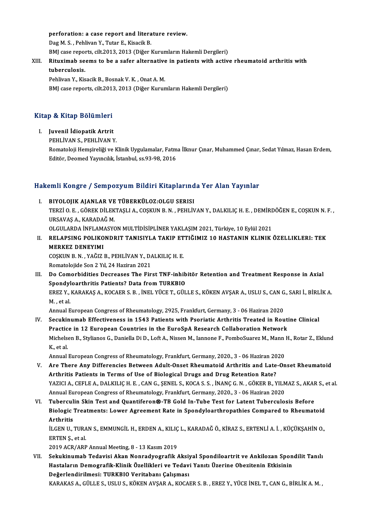perforation: a case report and literature review.<br>Peg M S - Pehlivan V - Tutar E, Kisasik P perforation: a case report and litera<br>Dag M. S. , Pehlivan Y., Tutar E., Kisacik B.<br>BMI case reports silt 2012, 2012 (Dižer l Dag M. S. , Pehlivan Y., Tutar E., Kisacik B.<br>BMJ case reports, cilt.2013, 2013 (Diğer Kurumların Hakemli Dergileri) Dag M. S. , Pehlivan Y., Tutar E., Kisacik B.<br>BMJ case reports, cilt.2013, 2013 (Diğer Kurumların Hakemli Dergileri)<br>XIII. Rituximab seems to be a safer alternative in patients with active rheumatoid arthritis with

# BMJ case report<br><mark>Rituximab se</mark><br>tuberculosis.<br><sup>Doblivan V. Kie</sub></sup>

Rituximab seems to be a safer alternative<br>tuberculosis.<br>Pehlivan Y., Kisacik B., Bosnak V. K. , Onat A. M.<br>PMI case reports. silt 2012-2012 (Dižer Kurun tuberculosis.<br>Pehlivan Y., Kisacik B., Bosnak V. K. , Onat A. M.<br>BMJ case reports, cilt.2013, 2013 (Diğer Kurumların Hakemli Dergileri)

# вмј case reports, cnt.201.<br>Kitap & Kitap Bölümleri Itap & Kitap Bölümleri<br>I. Juvenil İdiopatik Artrit<br>PEHLİVAN S. PEHLİVAN V

- I. Juvenil İdiopatik Artrit<br>PEHLİVAN S., PEHLİVAN Y.
	-

Juvenil İdiopatik Artrit<br>PEHLİVAN S., PEHLİVAN Y.<br>Romatoloji Hemşireliği ve Klinik Uygulamalar, Fatma İlknur Çınar, Muhammed Çınar, Sedat Yılmaz, Hasan Erdem,<br>Editör, Deomed Yaungılık, İstanbul, 99.9.9.2016 PEHLİVAN S., PEHLİVAN Y.<br>Romatoloji Hemşireliği ve Klinik Uygulamalar, Fatm<br>Editör, Deomed Yayıncılık, İstanbul, ss.93-98, 2016

# editor, beomed Yayıncılık, istanbul, ss.93-98, 2016<br>Hakemli Kongre / Sempozyum Bildiri Kitaplarında Yer Alan Yayınlar

- akemli Kongre / Sempozyum Bildiri Kitaplarınd<br>I. BIYOLOJIK AJANLAR VE TÜBERKÜLOZ:OLGU SERISI<br>TERZİO EL GÖREK DİLEKTASLLA COSKUN BINL BEHLİY TERZİ O. E. , GÖREK DİLEKTAŞLI A., COŞKUN B. N. , PEHLİVAN Y., DALKILIÇ H. E. , DEMİRDÖĞEN E., COŞKUN N. F. ,<br>URSAVAS A., KARADAĞ M. I. BIYOLOJIK AJANLAR VE TÜBERKÜLOZ: OLGU SERISI TERZİ O. E. , GÖREK DİLEKTAŞLI A., COŞKUN B. N. , PEHLİVAN Y., DALKILIÇ H. E. , DEMİRI<br>URSAVAŞ A., KARADAĞ M.<br>OLGULARDA İNFLAMASYON MULTİDİSİPLİNER YAKLAŞIM 2021, Türkiye, 10 Eylül 2021<br>PELARSING POLIKONDRIT TANISIYLA TAKI
- II. RELAPSING POLIKONDRIT TANISIYLA TAKIP ETTIĞIMIZ 10 HASTANIN KLINIK ÖZELLIKLERI: TEK<br>MERKEZ DENEYIMI OLGULARDA İNFLAM<br>RELAPSING POLIKO<br>MERKEZ DENEYIMI<br>COSYUN B.N. YAĞIZI RELAPSING POLIKONDRIT TANISIYLA TAKIP ET<br>MERKEZ DENEYIMI<br>COŞKUN B.N., YAĞIZ B., PEHLİVAN Y., DALKILIÇ H. E.<br>Bomatalojide Son 2 Yıl 24 Heriran 2021 MERKEZ DENEYIMI<br>COŞKUN B. N. , YAĞIZ B., PEHLİVAN Y., DA<br>Romatolojide Son 2 Yıl, 24 Haziran 2021<br>De Cemerbidities Desreeses The Eir

COȘKUN B. N. , YAĞIZ B., PEHLİVAN Y., DALKILIÇ H. E.<br>Romatolojide Son 2 Yıl, 24 Haziran 2021<br>III. Do Comorbidities Decreases The First TNF-inhibitör Retention and Treatment Response in Axial<br>Spondylearthritis Batiante? Dat Romatolojide Son 2 Yıl, 24 Haziran 2021<br>Do Comorbidities Decreases The First TNF-inhib<br>Spondyloarthritis Patients? Data from TURKBIO<br>FREZ V. KARAKAS A. KOCAER S. R. İNEL VÜCE T. CÜL Do Comorbidities Decreases The First TNF-inhibitör Retention and Treatment Response in Axial<br>Spondyloarthritis Patients? Data from TURKBIO<br>EREZ Y., KARAKAŞ A., KOCAER S. B. , İNEL YÜCE T., GÜLLE S., KÖKEN AVŞAR A., USLU S. Spondyl<br>EREZ Y.,<br>M. , et al.<br>Annual E EREZ Y., KARAKAŞ A., KOCAER S. B. , İNEL YÜCE T., GÜLLE S., KÖKEN AVŞAR A., USLU S., CAN G<br>M. , et al.<br>Annual European Congress of Rheumatology, 2925, Frankfurt, Germany, 3 - 06 Haziran 2020<br>Segukinumah Effectivenese in 15

M. , et al.<br>Annual European Congress of Rheumatology, 2925, Frankfurt, Germany, 3 - 06 Haziran 2020<br>IV. Secukinumab Effectiveness in 1543 Patients with Psoriatic Arthritis Treated in Routine Clinical<br>Prestice in 13 Europea Annual European Congress of Rheumatology, 2925, Frankfurt, Germany, 3 - 06 Haziran 2020<br>Secukinumab Effectiveness in 1543 Patients with Psoriatic Arthritis Treated in Rout<br>Practice in 12 European Countries in the EuroSpA R Secukinumab Effectiveness in 1543 Patients with Psoriatic Arthritis Treated in Routine Clinical<br>Practice in 12 European Countries in the EuroSpA Research Collaboration Network<br>Michelsen B., Stylianos G., Daniella Di D., Lo Practic<br>Michels<br>K., et al.<br>Annual Michelsen B., Stylianos G., Daniella Di D., Loft A., Nissen M., Iannone F., PomboSuarez M., Mann<br>K., et al.<br>Annual European Congress of Rheumatology, Frankfurt, Germany, 2020., 3 - 06 Haziran 2020<br>Are There Any Differencie

- K., et al.<br>Annual European Congress of Rheumatology, Frankfurt, Germany, 2020., 3 06 Haziran 2020<br>V. Are There Any Differencies Between Adult-Onset Rheumatoid Arthritis and Late-Onset Rheumatoid<br>Arthritis Patients in Annual European Congress of Rheumatology, Frankfurt, Germany, 2020., 3 - 06 Haziran 20<br>Are There Any Differencies Between Adult-Onset Rheumatoid Arthritis and Late<br>Arthritis Patients in Terms of Use of Biological Drugs and Are There Any Differencies Between Adult-Onset Rheumatoid Arthritis and Late-Onset Rheumatoid<br>Arthritis Patients in Terms of Use of Biological Drugs and Drug Retention Rate?<br>YAZICI A., CEFLE A., DALKILIÇ H. E. , CAN G., ŞE Arthritis Patients in Terms of Use of Biological Drugs and Drug Retention Rate?<br>YAZICI A., CEFLE A., DALKILIÇ H. E. , CAN G., ŞENEL S., KOCA S. S. , İNANÇ G. N. , GÖKER B., YILM<br>Annual European Congress of Rheumatology, Fr Annual European Congress of Rheumatology, Frankfurt, Germany, 2020., 3 - 06 Haziran 2020<br>VI. Tuberculin Skin Test and Quantiferon®-TB Gold In-Tube Test for Latent Tuberculosis Before
- Annual European Congress of Rheumatology, Frankfurt, Germany, 2020., 3 06 Haziran 2020<br>Tuberculin Skin Test and Quantiferon®-TB Gold In-Tube Test for Latent Tuberculosis Before<br>Biologic Treatments: Lower Agreement Rate i Tubercul<br>Biologic<br>Arthritis<br>it CEN U Biologic Treatments: Lower Agreement Rate in Spondyloarthropathies Compared to Rheumatoid<br>Arthritis<br>İLGEN U., TURAN S., EMMUNGİL H., ERDEN A., KILIÇ L., KARADAĞ Ö., KİRAZ S., ERTENLİ A. İ. , KÜÇÜKŞAHİN O.,<br>ERTEN S. et el

Arthritis<br>İLGEN U., TURAN S., EMMUNGİL H., ERDEN A., KILIÇ<br>ERTEN Ş., et al.<br>2019 ACR/ARP Annual Meeting, 8 - 13 Kasım 2019 İLGEN U., TURAN S., EMMUNGİL H., ERDEN A., KILIÇ L., KARADAĞ Ö., KİRAZ S., ERTENLI A. İ., KÜÇÜKŞAHİN O.,

ERTEN Ş., et al.<br>2019 ACR/ARP Annual Meeting, 8 - 13 Kasım 2019<br>VII. Sekukinumab Tedavisi Akan Nonradyografik Aksiyal Spondiloartrit ve Ankilozan Spondilit Tanılı<br>Hastaların Demesrafik Klinik Özellikleri ve Tedavi Yanı 2019 ACR/ARP Annual Meeting, 8 - 13 Kasım 2019<br>Sekukinumab Tedavisi Akan Nonradyografik Aksiyal Spondiloartrit ve Ankilozan Spon<br>Hastaların Demografik-Klinik Özellikleri ve Tedavi Yanıtı Üzerine Obezitenin Etkisinin<br>Peğarl Hastaların Demografik-Klinik Özellikleri ve Tedavi Yanıtı Üzerine Obezitenin Etkisinin<br>Değerlendirilmesi: TURKBIO Veritabanı Çalışması

KARAKASA.,GÜLLES.,USLUS.,KÖKENAVŞARA.,KOCAERS.B. ,EREZ Y.,YÜCEİNEL T.,CANG.,BİRLİKA.M. ,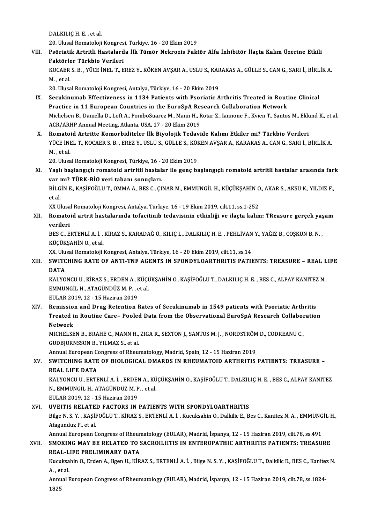DALKILIÇH.E., et al.

20. Ulusal Romatoloji Kongresi, Türkiye, 16 - 20 Ekim 2019

DALKILIÇ H. E. , et al.<br>20. Ulusal Romatoloji Kongresi, Türkiye, 16 - 20 Ekim 2019<br>VIII. Psöriatik Artritli Hastalarda İlk Tümör Nekrozis Faktör Alfa İnhibitör İlaçta Kalım Üzerine Etkili<br>Faktörler Türkbiş Verileri 20. Ulusal Romatoloji Kongres<br>Psöriatik Artritli Hastalard<br>Faktörler Türkbio Verileri<br><sup>VOCAED S. B.</sup> VÜCE İNEL T. E Psöriatik Artritli Hastalarda İlk Tümör Nekrozis Faktör Alfa İnhibitör İlaçta Kalım Üzerine Etkili<br>Faktörler Türkbio Verileri<br>KOCAER S. B. , YÜCE İNEL T., EREZ Y., KÖKEN AVŞAR A., USLU S., KARAKAS A., GÜLLE S., CAN G., SAR

Faktörle<br>KOCAER<br>M. , et al.<br>20. Ulusa KOCAER S. B. , YÜCE İNEL T., EREZ Y., KÖKEN AVŞAR A., USLU S., KAF<br>M. , et al.<br>20. Ulusal Romatoloji Kongresi, Antalya, Türkiye, 16 - 20 Ekim 2019<br>Sesukinumah Effectivonese in 1124 Batiants with Beoriatis A

- M. , et al.<br>20. Ulusal Romatoloji Kongresi, Antalya, Türkiye, 16 20 Ekim 2019<br>IX. Secukinumab Effectiveness in 1134 Patients with Psoriatic Arthritis Treated in Routine Clinical Practice in 11 European Countries in the EuroSpA Research Collaboration Network Secukinumab Effectiveness in 1134 Patients with Psoriatic Arthritis Treated in Routine Clinical<br>Practice in 11 European Countries in the EuroSpA Research Collaboration Network<br>Michelsen B., Daniella D., Loft A., PomboSuare Practice in 11 European Countries in the EuroSpA Res<br>Michelsen B., Daniella D., Loft A., PomboSuarez M., Mann H., F<br>ACR/ARHP Annual Meeting, Atlanta, USA, 17 - 20 Ekim 2019<br>Pomateid Artritte Komerhiditeler Ills Bivolejik T Michelsen B., Daniella D., Loft A., PomboSuarez M., Mann H., Rotar Z., Iannone F., Kvien T., Santos M., Eklu<br>ACR/ARHP Annual Meeting, Atlanta, USA, 17 - 20 Ekim 2019<br>X. Romatoid Artritte Komorbiditeler İlk Biyolojik Tedavi
- ACR/ARHP Annual Meeting, Atlanta, USA, 17 20 Ekim 2019<br>Romatoid Artritte Komorbiditeler İlk Biyolojik Tedavide Kalımı Etkiler mi? Türkbio Verileri<br>YÜCE İNEL T., KOCAER S. B. , EREZ Y., USLU S., GÜLLE S., KÖKEN AVŞAR A., Romato<br>YÜCE İNI<br>M. , et al.<br>20. Uhrea YÜCE İNEL T., KOCAER S. B. , EREZ Y., USLU S., GÜLLE S., KÖI<br>M. , et al.<br>20. Ulusal Romatoloji Kongresi, Türkiye, 16 - 20 Ekim 2019<br>Yaslı haslangıslı romatoid artritli hastalar ile gans be

20. Ulusal Romatoloji Kongresi, Türkiye, 16 - 20 Ekim 2019

M. , et al.<br>20. Ulusal Romatoloji Kongresi, Türkiye, 16 - 20 Ekim 2019<br>XI. Yaşlı başlangıçlı romatoid artritli hastalar ile genç başlangıçlı romatoid artritli hastalar arasında fark<br>xon mi<sup>2</sup> Tünk, BİQ voni tabanı sonu Yaşlı başlangıçlı romatoid artritli hastalar ile genç başlangıçlı romatoid artritli hastalar arasında far<br>var mı? TÜRK-BİO veri tabanı sonuçları.<br>BİLGİN E., KAŞİFOĞLU T., OMMA A., BES C., ÇINAR M., EMMUNGİL H., KÜÇÜKŞAHİN

var mı? TÜRK-BİO veri tabanı sonuçları.<br>BİLGİN E., KAŞİFOĞLU T., OMMA A., BES C., ÇII<br>et al. BİLGİN E., KASİFOĞLU T., OMMA A., BES C., CINAR M., EMMUNGİL H., KÜÇÜKSAHİN O., AKAR S., AKSU K., YILDIZ F.,

XX Ulusal Romatoloji Kongresi, Antalya, Türkiye, 16 - 19 Ekim 2019, cilt.11, ss.1-252

XII. Romatoid artrit hastalarında tofacitinib tedavisinin etkinliği ve ilaçta kalım: TReasure gerçek yaşam<br>verileri Romatoid artrit hastalarında tofacitinib tedavisinin etkinliği ve ilaçta kalım: TReasure gerçek yaş<br>verileri<br>BES C., ERTENLİ A. İ. , KİRAZ S., KARADAĞ Ö., KILIÇ L., DALKILIÇ H. E. , PEHLİVAN Y., YAĞIZ B., COŞKUN B. N. ,<br>KÜ

<mark>verileri</mark><br>BES C., ERTENLİ A. İ. ,<br>KÜÇÜKŞAHİN O., et al.<br>YY. Ulucal Bamatalaji i BES C., ERTENLİ A. İ. , KİRAZ S., KARADAĞ Ö., KILIÇ L., DALKILIÇ H. E. , PEHLİVAN<br>KÜÇÜKŞAHİN O., et al.<br>XX. Ulusal Romatoloji Kongresi, Antalya, Türkiye, 16 - 20 Ekim 2019, cilt.11, ss.14<br>SWITCHING RATE OF ANTI TNE AGENTS

XX. Ulusal Romatoloji Kongresi, Antalya, Türkiye, 16 - 20 Ekim 2019, cilt.11, ss.14

# KÜÇÜKŞAHİN O., et al.<br>XX. Ulusal Romatoloji Kongresi, Antalya, Türkiye, 16 - 20 Ekim 2019, cilt.11, ss.14<br>XIII. SWITCHING RATE OF ANTI-TNF AGENTS IN SPONDYLOARTHRITIS PATIENTS: TREASURE – REAL LIFE<br>DATA SWITCHING RATE OF ANTI-TNF AGENTS IN SPONDYLOARTHRITIS PATIENTS: TREASURE – REAL L<br>DATA<br>KALYONCU U., KİRAZ S., ERDEN A., KÜÇÜKŞAHİN O., KAŞİFOĞLU T., DALKILIÇ H. E. , BES C., ALPAY KANITEZ N.,<br>EMMUNCU H. ATAÇÜNDÜZ M. B., e

DATA<br>KALYONCU U., KİRAZ S., ERDEN A., KÜÇİ<br>EMMUNGİL H., ATAGÜNDÜZ M. P. , et al.<br>EULAR 2019, 12., 15 Haziran 2019 KALYONCU U., KİRAZ S., ERDEN A., I<br>EMMUNGİL H., ATAGÜNDÜZ M. P. , e<br>EULAR 2019, 12 - 15 Haziran 2019<br>Bemission and Drug Betantion l EMMUNGİL H., ATAGÜNDÜZ M. P. , et al.<br>EULAR 2019, 12 - 15 Haziran 2019<br>XIV. Remission and Drug Retention Rates of Secukinumab in 1549 patients with Psoriatic Arthritis

EULAR 2019, 12 - 15 Haziran 2019<br>Remission and Drug Retention Rates of Secukinumab in 1549 patients with Psoriatic Arthritis<br>Treated in Routine Care– Pooled Data from the Observational EuroSpA Research Collaboration<br>Natwor Remissio<br>Treated i<br>Network<br>MCHELSE Treated in Routine Care– Pooled Data from the Observational EuroSpA Research Collabor<br>Network<br>MICHELSEN B., BRAHE C., MANN H., ZIGA R., SEXTON J., SANTOS M. J. , NORDSTRÖM D., CODREANU C.,<br>CUPRIORNSSON B. XII MAZ S. et al

Network<br>MICHELSEN B., BRAHE C., MANN H.,<br>GUDBJORNSSON B., YILMAZ S., et al.<br>Annual Euronean Congress of Bhou MICHELSEN B., BRAHE C., MANN H., ZIGA R., SEXTON J., SANTOS M. J. , NORDSTRÖM<br>GUDBJORNSSON B., YILMAZ S., et al.<br>Annual European Congress of Rheumatology, Madrid, Spain, 12 - 15 Haziran 2019<br>SWITCHING BATE OF BIOLOGICAL DM

Annual European Congress of Rheumatology, Madrid, Spain, 12 - 15 Haziran 2019

# GUDBJORNSSON B., YILMAZ S., et al.<br>Annual European Congress of Rheumatology, Madrid, Spain, 12 - 15 Haziran 2019<br>XV. SWITCHING RATE OF BIOLOGICAL DMARDS IN RHEUMATOID ARTHRITIS PATIENTS: TREASURE –<br>REAL LIFE DATA SWITCHING RATE OF BIOLOGICAL DMARDS IN RHEUMATOID ARTHRITIS PATIENTS: TREASURE –<br>REAL LIFE DATA<br>KALYONCU U., ERTENLÌ A. İ. , ERDEN A., KÜÇÜKŞAHİN O., KAŞİFOĞLU T., DALKILIÇ H. E. , BES C., ALPAY KANITEZ<br>N. EMMUNCU H. ATAÇÜ

REAL LIFE DATA<br>KALYONCU U., ERTENLİ A. İ. , ERDEN A., KÜ<br>N., EMMUNGİL H., ATAGÜNDÜZ M. P. , et al.<br>EULAP 2019-12 - 15 Haziran 2019 KALYONCU U., ERTENLİ A. İ. , ERDEI<br>N., EMMUNGİL H., ATAGÜNDÜZ M. P<br>EULAR 2019, 12 - 15 Haziran 2019<br>UVELTIS PELATED EACTOPS IN N., EMMUNGIL H., ATAGÜNDÜZ M. P. , et al.<br>EULAR 2019, 12 - 15 Haziran 2019<br>XVI. UVEITIS RELATED FACTORS IN PATIENTS WITH SPONDYLOARTHRITIS

EULAR 2019, 12 - 15 Haziran 2019<br>UVEITIS RELATED FACTORS IN PATIENTS WITH SPONDYLOARTHRITIS<br>Bilge N. S. Y. , KAŞİFOĞLU T., KİRAZ S., ERTENLİ A. İ. , Kucuksahin O., Dalkilic E., Bes C., Kanitez N. A. , EMMUNGİL H.,<br>Atasındu **UVEITIS RELATE<br>Bilge N. S. Y. , KAŞİI<br>Atagunduz P., et al.**<br>Annual Euronean G Bilge N. S. Y. , KAŞİFOĞLU T., KİRAZ S., ERTENLİ A. İ. , Kucuksahin O., Dalkilic E., Bes C., Kanitez N. A. , EMMUNG<br>Atagunduz P., et al.<br>Annual European Congress of Rheumatology (EULAR), Madrid, İspanya, 12 - 15 Haziran 20

## Atagunduz P., et al.<br>Annual European Congress of Rheumatology (EULAR), Madrid, İspanya, 12 - 15 Haziran 2019, cilt.78, ss.491<br>XVII. SMOKING MAY BE RELATED TO SACROILIITIS IN ENTEROPATHIC ARTHRITIS PATIENTS: TREASURE Annual European Congress of Rheun<br>SMOKING MAY BE RELATED TO S<br>REAL-LIFE PRELIMINARY DATA<br>Kusukaabin O, Erdan A, Haan II, Kip SMOKING MAY BE RELATED TO SACROILIITIS IN ENTEROPATHIC ARTHRITIS PATIENTS: TREASURE<br>REAL-LIFE PRELIMINARY DATA<br>Kucuksahin O., Erden A., Ilgen U., KİRAZ S., ERTENLİ A. İ. , Bilge N. S. Y. , KAŞİFOĞLU T., Dalkilic E., BES C.

REAL-L<br>Kucuksa<br>A. , et al.<br>Annual I Kucuksahin O., Erden A., Ilgen U., KİRAZ S., ERTENLİ A. İ. , Bilge N. S. Y. , KAŞİFOĞLU T., Dalkilic E., BES C., Kanitez<br>A. , et al.<br>Annual European Congress of Rheumatology (EULAR), Madrid, İspanya, 12 - 15 Haziran 2019,

A. , et al.<br>Annual European Congress of Rheumatology (EULAR), Madrid, İspanya, 12 - 15 Haziran 2019, cilt.78, ss.1824-<br>1825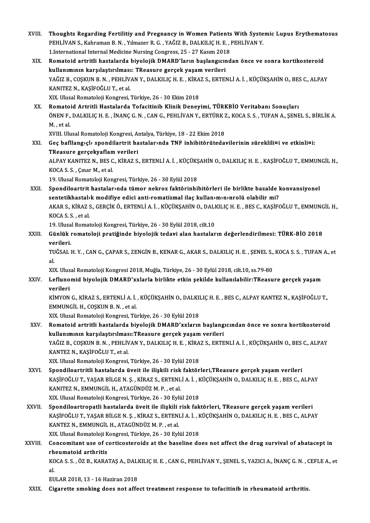XVIII. Thoughts Regarding Fertilitiy and Pregnancy in Women Patients With Systemic Lupus Erythematosus<br>PEHLIVAN S. Kohnaman B.N., Vilmaran B.C., VAČIZ B. DALKILIC H. E. PEHLIVAN V Thoughts Regarding Fertilitiy and Pregnancy in Women Patients With Syste<br>PEHLİVAN S.,Kahraman B.N. ,Yılmazer R.G. ,YAĞIZ B., DALKILIÇ H.E. , PEHLİVAN Y.<br>1 International Internal Medisine Nursing Congress, 25, 27 Kesun 2019 Thoughts Regarding Fertilitiy and Pregnancy in Women Patients<br>PEHLİVAN S., Kahraman B. N. , Yılmazer R. G. , YAĞIZ B., DALKILIÇ H. E. , .<br>1.International Internal Medicine Nursing Congress, 25 - 27 Kasım 2018<br>Bomatoid orta PEHLİVAN S., Kahraman B. N. , Yılmazer R. G. , YAĞIZ B., DALKILIÇ H. E. , PEHLİVAN Y.<br>1.International Internal Medicine Nursing Congress, 25 - 27 Kasım 2018<br>XIX. Romatoid artritli hastalarda biyolojik DMARD'ların başla 1.International Internal Medicine Nursing Congress, 25 - 27 Kasım 201<br>Romatoid artritli hastalarda biyolojik DMARD'ların başlangıcır<br>kullanımının karşılaştırılması: TReasure gerçek yaşam verileri<br>YAČIZ B. COSKUN B.N., BEHL Romatoid artritli hastalarda biyolojik DMARD'ların başlangıcından önce ve sonra kortikosteroid<br>kullanımının karşılaştırılması: TReasure gerçek yaşam verileri<br>YAĞIZ B., COŞKUN B. N. , PEHLİVAN Y., DALKILIÇ H. E. , KİRAZ S., kullanımının karşılaştırılması: TReasure gerçek yaşam verileri<br>YAĞIZ B., COŞKUN B. N. , PEHLİVAN Y., DALKILIÇ H. E. , KİRAZ S., ERTEI<br>KANITEZ N., KAŞİFOĞLU T., et al.<br>XIX. Ulusal Romatoloji Kongresi, Türkiye, 26 - 30 Ekim YAĞIZ B., COŞKUN B. N. , PEHLİVAN Y., DALKILIÇ H. E. , KİRA<br>KANITEZ N., KAŞİFOĞLU T., et al.<br>XIX. Ulusal Romatoloji Kongresi, Türkiye, 26 - 30 Ekim 2018<br>Bomatoid, Artritli Hastalarda Tefasitinih Klinik Donav XX. Romatoid Artritli Hastalarda Tofacitinib Klinik Deneyimi, TÜRKBİO Veritabanı Sonuçları XIX. Ulusal Romatoloji Kongresi, Türkiye, 26 - 30 Ekim 2018<br>Romatoid Artritli Hastalarda Tofacitinib Klinik Deneyimi, TÜRKBİO Veritabanı Sonuçları<br>ÖNEN F., DALKILIÇ H. E. , İNANÇ G. N. , CAN G., PEHLİVAN Y., ERTÜRK Z., KOC Romato<br>ÖNEN F.,<br>M. , et al.<br>YVIII. Ub. ÖNEN F., DALKILIÇ H. E. , İNANÇ G. N. , CAN G., PEHLİVAN Y., ERTÜRK 2<br>M. , et al.<br>XVIII. Ulusal Romatoloji Kongresi, Antalya, Türkiye, 18 - 22 Ekim 2018<br>Ces bafllangıslı spondilertrit bastalarında TNE inhibiterütedeı M. , et al.<br>XVIII. Ulusal Romatoloji Kongresi, Antalya, Türkiye, 18 - 22 Ekim 2018<br>XXI. Geç bafllang›çl› spondilartrit hastalar›nda TNF inhibitörütedavilerinin süreklili¤i ve etkinli¤i: XVIII. Ulusal Romatoloji Kongresi, Al<br>Geç bafllang>çl> spondilartrit ha<br>TReasure gerçekyaflam verileri<br>ALBAV KANITEZ N. BES C. KİBAZ S Geç bafllang›çl› spondilartrit hastalar›nda TNF inhibitörütedavilerinin süreklili¤i ve etkinli¤i:<br>TReasure gerçekyaflam verileri<br>ALPAY KANITEZ N., BES C., KİRAZ S., ERTENLİ A. İ. , KÜÇÜKŞAHİN O., DALKILIÇ H. E. , KAŞİFOĞLU TReasure gerçekyaflan<br>ALPAY KANITEZ N., BES C<br>KOCA S. S. , Çınar M., et al.<br>10 Ulucal Bornatalaji Kon ALPAY KANITEZ N., BES C., KİRAZ S., ERTENLİ A. İ. , KÜÇÜKŞ<br>KOCA S. S. , Çınar M., et al.<br>19. Ulusal Romatoloji Kongresi, Türkiye, 26 - 30 Eylül 2018<br>Spendileertrit bestelerunde tümer nekres fektêrinbil KOCA S. S. , Çınar M., et al.<br>19. Ulusal Romatoloji Kongresi, Türkiye, 26 - 30 Eylül 2018<br>XXII. Spondiloartrit hastalar›nda tümor nekroz faktörinhibitörleri ile birlikte bazalde konvansiyonel<br>sontatikbastakk medifiye edisi 19. Ulusal Romatoloji Kongresi, Türkiye, 26 - 30 Eylül 2018<br>Spondiloartrit hastalar›nda tümor nekroz faktörinhibitörleri ile birlikte bazalde l<br>sentetikhastal›k modifiye edici anti-romatizmal ilaç kullan›m›n›nrolü olabilir Spondiloartrit hastalar>nda tümor nekroz faktörinhibitörleri ile birlikte bazalde konvansiyonel<br>sentetikhastal>k modifiye edici anti-romatizmal ilaç kullan>m>n>nrolü olabilir mi?<br>AKAR S., KİRAZ S., GERÇİK Ö., ERTENLİ A. İ. sentetikhastal»<br>AKAR S., KİRAZ :<br>KOCA S. S. , et al.<br>19. Ulusal Bornat AKAR S., KİRAZ S., GERÇİK Ö., ERTENLİ A. İ. , KÜÇÜKŞAHİN O., DALI<br>KOCA S. S. , et al.<br>19. Ulusal Romatoloji Kongresi, Türkiye, 26 - 30 Eylül 2018, cilt.10<br>Günlük romatoloji pratiğinde biyelejik tedevi alan baştalar KOCA S. S. , et al.<br>19. Ulusal Romatoloji Kongresi, Türkiye, 26 - 30 Eylül 2018, cilt.10<br>XXIII. Günlük romatoloji pratiğinde biyolojik tedavi alan hastaların değerlendirilmesi: TÜRK-BİO 2018<br>verileri 19 Ulusa<br>Günlük ı<br>verileri.<br>TUČSAL I Günlük romatoloji pratiğinde biyolojik tedavi alan hastaların değerlendirilmesi: TÜRK-BİO 2018<br>verileri.<br>TUĞSAL H.Y. , CAN G., ÇAPAR S., ZENGİN B., KENAR G., AKAR S., DALKILIÇ H. E. , ŞENEL S., KOCA S. S. , TUFAN A., et<br>el ve<br>TU<br>al TUĞSAL H. Y. , CAN G., ÇAPAR S., ZENGİN B., KENAR G., AKAR S., DALKILIÇ H. E. , ŞENEL S., KOCA S. S. , TUFAN A., et<br>al XXIV. Leflunomid biyolojik DMARD'xxlarla birlikte etkin şekilde kullanılabilir:TReasure gerçek yaşam<br>verileri XIX. Ulusal Romatoloji Kongresi 2018, Muğla, Türkiye, 26 - 30 Eylül 2018, cilt.10, ss.79-80 Leflunomid biyolojik DMARD'xxlarla birlikte etkin şekilde kullanılabilir:TReasure gerçek yaşam<br>verileri<br>KİMYON G., KİRAZ S., ERTENLİ A. İ. , KÜÇÜKŞAHİN O., DALKILIÇ H. E. , BES C., ALPAY KANTEZ N., KAŞİFOĞLU T.,<br>EMMUNCU H. verileri<br>KİMYON G., KİRAZ S., ERTENLİ A. İ.<br>EMMUNGİL H., COŞKUN B. N. , et al.<br>YIY. Hlusel Bernateleji Kengresi, Tü EMMUNGİL H., COŞKUN B. N. , et al.<br>XIX. Ulusal Romatoloji Kongresi, Türkiye, 26 - 30 Eylül 2018 EMMUNGİL H., COŞKUN B. N. , et al.<br>XIX. Ulusal Romatoloji Kongresi, Türkiye, 26 - 30 Eylül 2018<br>XXV. Romatoid artritli hastalarda biyolojik DMARD'xxların başlangıcından önce ve sonra kortikosteroid<br>Indenmuna karalactur XIX. Ulusal Romatoloji Kongresi, Türkiye, 26 - 30 Eylül 2018<br>Romatoid artritli hastalarda biyolojik DMARD'xxların başlang<br>kullanımının karşılaştırılması:TReasure gerçek yaşam verileri<br>YAĞIZ B. COSKUN B. N., DEHLİYAN Y. DAL Romatoid artritli hastalarda biyolojik DMARD'xxların başlangıcından önce ve sonra kortikosteroid<br>kullanımının karşılaştırılması:TReasure gerçek yaşam verileri<br>YAĞIZ B., COŞKUN B. N. , PEHLİVAN Y., DALKILIÇ H. E. , KİRAZ S. kullanımının karşılaştırılmas<br>YAĞIZ B., COŞKUN B. N. , PEHLİV<br>KANTEZ N., KAŞİFOĞLU T., et al.<br>YIY Hlusal Pemataleji Kansusaj YAĞIZ B., COŞKUN B. N. , PEHLİVAN Y., DALKILIÇ H. E. , KİRA<br>KANTEZ N., KAŞİFOĞLU T., et al.<br>XIX. Ulusal Romatoloji Kongresi, Türkiye, 26 - 30 Eylül 2018<br>Spondiloartritli hastalarda üyeit ile ilişkili risk faktör KANTEZ N., KAŞİFOĞLU T., et al.<br>XIX. Ulusal Romatoloji Kongresi, Türkiye, 26 - 30 Eylül 2018<br>XXVI. Spondiloartritli hastalarda üveit ile ilişkili risk faktörleri,TReasure gerçek yaşam verileri<br>XASİFOĞLU T. VASAR RİLGE N.S. XIX. Ulusal Romatoloji Kongresi, Türkiye, 26 - 30 Eylül 2018<br>Spondiloartritli hastalarda üveit ile ilişkili risk faktörleri,TReasure gerçek yaşam verileri<br>KAŞİFOĞLU T., YAŞAR BİLGE N. Ş. , KİRAZ S., ERTENLİ A. İ. , KÜÇÜKŞA Spondiloartritli hastalarda üveit ile ilişkili risk<br>KAŞİFOĞLU T., YAŞAR BİLGE N. Ş. , KİRAZ S., ERTENL<br>KANITEZ N., EMMUNGİL H., ATAGÜNDÜZ M. P. , et al.<br>YIY Husal Bamatalaji Kanarasi Türkiya 26.–20 Evlü KAŞİFOĞLU T., YAŞAR BİLGE N. Ş. , KİRAZ S., ERTENLİ A. İ. , K<br>KANITEZ N., EMMUNGİL H., ATAGÜNDÜZ M. P. , et al.<br>XIX. Ulusal Romatoloji Kongresi, Türkiye, 26 - 30 Eylül 2018<br>Spondiloartronatli bastalarda üyeit ile ilişkili XANITEZ N., EMMUNGİL H., ATAGÜNDÜZ M. P. , et al.<br>XIX. Ulusal Romatoloji Kongresi, Türkiye, 26 - 30 Eylül 2018<br>XXVII. Spondiloartropatli hastalarda üveit ile ilişkili risk faktörleri, TReasure gerçek yaşam verileri<br>XASİROĞ XIX. Ulusal Romatoloji Kongresi, Türkiye, 26 - 30 Eylül 2018<br>Spondiloartropatli hastalarda üveit ile ilişkili risk faktörleri, TReasure gerçek yaşam verileri<br>KAŞİFOĞLU T., YAŞAR BİLGE N. Ş. , KİRAZ S., ERTENLİ A. İ. , KÜÇÜ Spondiloartropatli hastalarda üveit ile ilişkili<br>KAŞİFOĞLU T., YAŞAR BİLGE N. Ş. , KİRAZ S., ERTEN!<br>KANTEZ N., EMMUNGİL H., ATAGÜNDÜZ M. P. , et al.<br>YIY Husal Bamatalaji Kansrasi Türkiye 26, 20 Eyl KAŞİFOĞLU T., YAŞAR BİLGE N. Ş. , KİRAZ S., ERTENLİ A. İ. , KÜÇÜKŞAHİN O., DALKILIÇ H. E. , BES C., ALPAY<br>KANTEZ N., EMMUNGİL H., ATAGÜNDÜZ M. P. , et al XXVIII. Concomitant use of corticosteroids at the baseline does not affect the drug survival of abatacept in<br>rheumatoid arthritis XIX. Ulusal Romatoloji Kongresi, Türkiye, 26 - 30 Eylül 2018 Concomitant use of corticosteroids at the baseline does not affect the drug survival of abatacept in<br>rheumatoid arthritis<br>KOCA S. S. , ÖZ B., KARATAŞ A., DALKILIÇ H. E. , CAN G., PEHLİVAN Y., ŞENEL S., YAZICI A., İNANÇ G. rh<br>KC<br>al. KOCA S. S. , ÖZ B., KARATAŞ A., DALI<br>al.<br>EULAR 2018, 13 - 16 Haziran 2018<br>Sisanatta amaking daes nat affa XXIX. Cigarette smoking does not affect treatment response to tofacitinib in rheumatoid arthritis.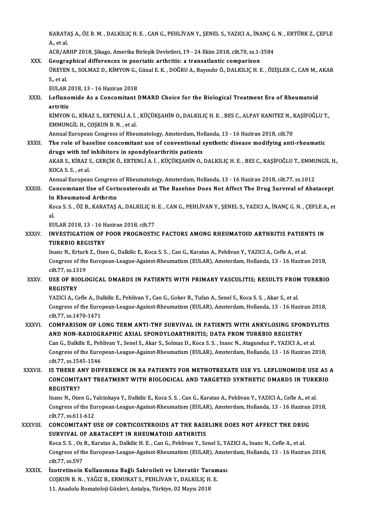KARATAŞ A., ÖZ B. M. , DALKILIÇ H. E. , CAN G., PEHLİVAN Y., ŞENEL S., YAZICI A., İNANÇ G. N. , ERTÜRK Z., ÇEFLE<br>A. et al KARATA<br>A., et al.<br>ACR (AR KARATAŞ A., ÖZ B. M. , DALKILIÇ H. E. , CAN G., PEHLİVAN Y., ŞENEL S., YAZICI A., İNANÇ G.<br>A., et al.<br>ACR/ARHP 2018, Şikago, Amerika Birleşik Devletleri, 19 - 24 Ekim 2018, cilt.70, ss.1-3584<br>Coographical differences in po

### A., et al.<br>ACR/ARHP 2018, Şikago, Amerika Birleşik Devletleri, 19 - 24 Ekim 2018, cilt.70, ss.1-3<br>XXX. Geographical differences in psoriatic arthritis: a transatlantic comparison<br>TREVEN S. SOLMAZ D. KINVON G. Günal E.K., D ACR/ARHP 2018, Şikago, Amerika Birleşik Devletleri, 19 - 24 Ekim 2018, cilt.70, ss.1-3584<br>Geographical differences in psoriatic arthritis: a transatlantic comparison<br>ÜREYEN S., SOLMAZ D., KİMYON G., Günal E. K. , DOĞRU A., **Geogra<br>ÜREYEN<br>S., et al.<br>EULAP** ÜREYEN S., SOLMAZ D., KİMYON G.,<br>S., et al.<br>EULAR 2018, 13 - 16 Haziran 2018<br>Leflunamide As a Consemitant l S., et al.<br>EULAR 2018, 13 - 16 Haziran 2018<br>XXXI. Leflunomide As a Concomitant DMARD Choice for the Biological Treatment Era of Rheumatoid<br>Antritic

EULAR 2<br><mark>Lefluno</mark><br>artritis<br><sup>vimvon</sup> Leflunomide As a Concomitant DMARD Choice for the Biological Treatment Era of Rheumatoid<br>artritis<br>KİMYON G., KİRAZ S., ERTENLİ A. İ. , KÜÇÜKŞAHİN O., DALKILIÇ H. E. , BES C., ALPAY KANITEZ N., KAŞİFOĞLU T.,<br>EMMUNCÜ H. COSK

artritis<br>KİMYON G., KİRAZ S., ERTENLİ A. İ.<br>EMMUNGİL H., COŞKUN B. N. , et al.<br>Annual Euronean Constees of Phoi KİMYON G., KİRAZ S., ERTENLİ A. İ. , KÜÇÜKŞAHİN O., DALKILIÇ H. E. , BES C., ALPAY KANITEZ N., I<br>EMMUNGİL H., COŞKUN B. N. , et al.<br>Annual European Congress of Rheumatology, Amsterdam, Hollanda, 13 - 16 Haziran 2018, cilt.

EMMUNGİL H., COŞKUN B. N. , et al.<br>Annual European Congress of Rheumatology, Amsterdam, Hollanda, 13 - 16 Haziran 2018, cilt.70<br>XXXII. The role of baseline concomitant use of conventional synthetic disease modifying an Annual European Congress of Rheumatology, Amsterdam, Ho<br>The role of baseline concomitant use of conventional s<br>drugs with tnf inhibitors in spondyloarthritis patients<br>AKAR S, KIRAZ S, GERCIK Ö, ERTENLİ A İ, KÜÇÜKSAHİN O The role of baseline concomitant use of conventional synthetic disease modifying anti-rheumatic<br>drugs with tnf inhibitors in spondyloarthritis patients<br>AKAR S., KİRAZ S., GERÇİK Ö., ERTENLİ A. İ. , KÜÇÜKŞAHİN O., DALKILIÇ

drugs with tnf<br>AKAR S., KİRAZ !<br>KOCA S. S. , et al.<br>Annual Eurones AKAR S., KİRAZ S., GERÇİK Ö., ERTENLİ A. İ. , KÜÇÜKŞAHİN O., DALKILIÇ H. E. , BES C., KAŞİFOĞLU T., EMMU<br>KOCA S. S. , et al.<br>Annual European Congress of Rheumatology, Amsterdam, Hollanda, 13 - 16 Haziran 2018, cilt.77, ss.

KOCA S. S. , et al.<br>Annual European Congress of Rheumatology, Amsterdam, Hollanda, 13 - 16 Haziran 2018, cilt.77, ss.1012<br>XXXIII. Concomitant Use of Corticosteroids at The Baseline Does Not Affect The Drug Survival of **Annual European Congress<br>Concomitant Use of Cort<br>In Rheumatoid Arthritis<br>Kess S. S. ÖZ B. KABATAS** Concomitant Use of Corticosteroids at The Baseline Does Not Affect The Drug Survival of Abatacept<br>In Rheumatoid Arthritis<br>Koca S. S. , ÖZ B., KARATAŞ A., DALKILIÇ H. E. , CAN G., PEHLİVAN Y., ŞENEL S., YAZICI A., İNANÇ G.

In<br>Ko<br>al<br>Eu Koca S. S. , ÖZ B., KARATAŞ A., DALKILIÇ H.<br>al.<br>EULAR 2018, 13 - 16 Haziran 2018, cilt.77<br>INVESTIC ATION OF BOOR BROCNOSTI

## al.<br>EULAR 2018, 13 - 16 Haziran 2018, cilt.77<br>XXXIV. INVESTIGATION OF POOR PROGNOSTIC FACTORS AMONG RHEUMATOID ARTHRITIS PATIENTS IN<br>TIIBKRIO BECISTRY EULAR 2018, 13 - 16 H<br>INVESTIGATION OF<br>TURKBIO REGISTRY<br>Inane N. Erturk 7, OTO INVESTIGATION OF POOR PROGNOSTIC FACTORS AMONG RHEUMATOID ARTHRITIS PATIEN<br>TURKBIO REGISTRY<br>Inanc N., Erturk Z., Ozen G., Dalkilic E., Koca S. S. , Can G., Karatas A., Pehlivan Y., YAZICI A., Cefle A., et al.<br>Congress of t

TURKBIO REGISTRY<br>Inanc N., Erturk Z., Ozen G., Dalkilic E., Koca S. S. , Can G., Karatas A., Pehlivan Y., YAZICI A., Cefle A., et al.<br>Congress of the European-League-Against-Rheumatism (EULAR), Amsterdam, Hollanda, 13 - 16 Inanc N., Erturk Z., Ozen G., Dalkilic E., Koca S. S., Can G., Karatas A., Pehlivan Y., YAZICI A., Cefle A., et al. Congress of the European-League-Against-Rheumatism (EULAR), Amsterdam, Hollanda, 13 - 16 Haziran 2018,<br>cilt.77, ss.1319<br>XXXV. USE OF BIOLOGICAL DMARDS IN PATIENTS WITH PRIMARY VASCULITIS; RESULTS FROM TURKBIO

# cilt.77, ss.13<br>USE OF BIC<br>REGISTRY<br>VAZICLA CO USE OF BIOLOGICAL DMARDS IN PATIENTS WITH PRIMARY VASCULITIS; RESULTS FROM<br>REGISTRY<br>YAZICI A., Cefle A., Dalkilic E., Pehlivan Y., Can G., Goker B., Tufan A., Senel S., Koca S. S. , Akar S., et al.<br>Congress of the European

REGISTRY<br>YAZICI A., Cefle A., Dalkilic E., Pehlivan Y., Can G., Goker B., Tufan A., Senel S., Koca S. S. , Akar S., et al.<br>Congress of the European-League-Against-Rheumatism (EULAR), Amsterdam, Hollanda, 13 - 16 Haziran 20 YAZICI A., Cefle A., Da<br>Congress of the Euro<br>cilt.77, ss.1470-1471<br>COMRARISON OF L Congress of the European-League-Against-Rheumatism (EULAR), Amsterdam, Hollanda, 13 - 16 Haziran 2018,<br>cilt.77, ss.1470-1471<br>XXXVI. COMPARISON OF LONG TERM ANTI-TNF SURVIVAL IN PATIENTS WITH ANKYLOSING SPONDYLITIS

## cilt77, ss.1470-1471<br>COMPARISON OF LONG TERM ANTI-TNF SURVIVAL IN PATIENTS WITH ANKYLOSING SPONDYLITIS<br>AND NON-RADIOGRAPHIC AXIAL SPONDYLOARTHRITIS; DATA FROM TURKBIO REGISTRY COMPARISON OF LONG TERM ANTI-TNF SURVIVAL IN PATIENTS WITH ANKYLOSING SPONDYI<br>AND NON-RADIOGRAPHIC AXIAL SPONDYLOARTHRITIS; DATA FROM TURKBIO REGISTRY<br>Can G., Dalkilic E., Pehlivan Y., Senel S., Akar S., Solmaz D., Koca S.

AND NON-RADIOGRAPHIC AXIAL SPONDYLOARTHRITIS; DATA FROM TURKBIO REGISTRY<br>Can G., Dalkilic E., Pehlivan Y., Senel S., Akar S., Solmaz D., Koca S. S. , Inanc N., Atagunduz P., YAZICI A., et al.<br>Congress of the European-Leagu Can G., Dalkilic E., Peh<br>Congress of the Euro<br>cilt.77, ss.1545-1546<br>IS TUEPE ANV DIEI Congress of the European-League-Against-Rheumatism (EULAR), Amsterdam, Hollanda, 13 - 16 Haziran 2018,<br>cilt.77, ss.1545-1546<br>XXXVII. IS THERE ANY DIFFERENCE IN RA PATIENTS FOR METHOTREXATE USE VS. LEFLUNOMIDE USE AS A

### cilt7, ss.1545-1546<br>IS THERE ANY DIFFERENCE IN RA PATIENTS FOR METHOTREXATE USE VS. LEFLUNOMIDE USE AS ,<br>CONCOMITANT TREATMENT WITH BIOLOGICAL AND TARGETED SYNTHETIC DMARDS IN TURKBIO<br>RECISTRY? IS THERE A<br>CONCOMITA<br>REGISTRY? CONCOMITANT TREATMENT WITH BIOLOGICAL AND TARGETED SYNTHETIC DMARDS IN TURKBIO<br>REGISTRY?<br>Inanc N., Ozen G., Yalcinkaya Y., Dalkilic E., Koca S. S. , Can G., Karatas A., Pehlivan Y., YAZICI A., Cefle A., et al.

REGISTRY?<br>Inanc N., Ozen G., Yalcinkaya Y., Dalkilic E., Koca S. S. , Can G., Karatas A., Pehlivan Y., YAZICI A., Cefle A., et al.<br>Congress of the European-League-Against-Rheumatism (EULAR), Amsterdam, Hollanda, 13 - 16 Ha Inanc N., Ozen G., Y<br>Congress of the Eu<br>cilt.77, ss.611-612<br>CONCOMITANT U Congress of the European-League-Against-Rheumatism (EULAR), Amsterdam, Hollanda, 13 - 16 Haziran<br>cilt.77, ss.611-612<br>XXXVIII. CONCOMITANT USE OF CORTICOSTEROIDS AT THE BASELINE DOES NOT AFFECT THE DRUG

# cilt.77, ss.611-612<br>CONCOMITANT USE OF CORTICOSTEROIDS AT THE BASE<br>SURVIVAL OF ABATACEPT IN RHEUMATOID ARTHRITIS CONCOMITANT USE OF CORTICOSTEROIDS AT THE BASELINE DOES NOT AFFECT THE DRUG<br>SURVIVAL OF ABATACEPT IN RHEUMATOID ARTHRITIS<br>Koca S. S. , Oz B., Karatas A., Dalkilic H. E. , Can G., Pehlivan Y., Senel S., YAZICI A., Inanc N.,

SURVIVAL OF ABATACEPT IN RHEUMATOID ARTHRITIS<br>Koca S. S. , Oz B., Karatas A., Dalkilic H. E. , Can G., Pehlivan Y., Senel S., YAZICI A., Inanc N., Cefle A., et al.<br>Congress of the European-League-Against-Rheumatism (EULAR) Koca S. S. , Oz B., Karatas A., Dalkilic H. E. , Can G., Pehlivan Y., Senel S., YAZICI A., Inanc N., Cefle A., et al.<br>Congress of the European-League-Against-Rheumatism (EULAR), Amsterdam, Hollanda, 13 - 16 Hazira<br>cilt.77, Congress of the European-League-Against-Rheumatism (EULAR), Amstrait (EULAR), Amstraite Constantino Kull animuna Bağlı Sakroileit ve Literatür Taraması<br>XXXIX. İzotretinoin Kullanımına Bağlı Sakroileit ve Literatür Taraması

COŞKUNB.N. ,YAĞIZB.,ERMURATS.,PEHLİVANY.,DALKILIÇH.E. 11. Anadolu Romatoloji Günleri, Antalya, Türkiye, 02 Mayıs 2018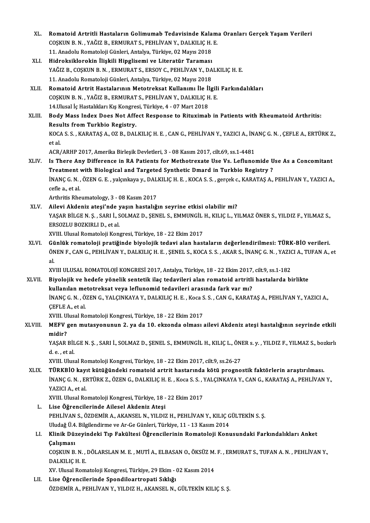- XL. Romatoid Artritli Hastaların Golimumab Tedavisinde Kalama Oranları Gerçek Yaşam Verileri<br>COSKUN B.N. XAĞIZ B. FRMURAT S. REHLİVAN V. DALKU IC H. F Romatoid Artritli Hastaların Golimumab Tedavisinde Kalam<br>COŞKUN B.N., YAĞIZ B., ERMURAT S., PEHLİVAN Y., DALKILIÇ H. E.<br>11. Anadely Bemeteleji Günleri, Antalya Türkiye, 93 Meye 2019 Romatoid Artritli Hastaların Golimumab Tedavisinde Kala<br>COŞKUN B. N. , YAĞIZ B., ERMURAT S., PEHLİVAN Y., DALKILIÇ H.<br>11. Anadolu Romatoloji Günleri, Antalya, Türkiye, 02 Mayıs 2018<br>Hidroksiklarakin İliakili Hinglisami ve COŞKUN B. N. , YAĞIZ B., ERMURAT S., PEHLİVAN Y., DALKILIÇ H.<br>11. Anadolu Romatoloji Günleri, Antalya, Türkiye, 02 Mayıs 2018<br>XLI. Hidroksiklorokin İlişkili Hipglisemi ve Literatür Taraması<br>XAĞIZ B. COSKUN B. N., EDMURAT S
- 11. Anadolu Romatoloji Günleri, Antalya, Türkiye, 02 Mayıs 2018<br>Hidroksiklorokin İlişkili Hipglisemi ve Literatür Taraması<br>YAĞIZ B., COŞKUN B. N. , ERMURAT S., ERSOY C., PEHLİVAN Y., DALKILIÇ H. E.<br>11. Anadolu Romatoloji G Hidroksiklorokin İlişkili Hipglisemi ve Literatür Taraması<br>YAĞIZ B., COŞKUN B. N. , ERMURAT S., ERSOY C., PEHLİVAN Y., DA<br>11. Anadolu Romatoloji Günleri, Antalya, Türkiye, 02 Mayıs 2018<br>Bomatoid Artrit Hastalarının Matatra YAĞIZ B., COŞKUN B. N. , ERMURAT S., ERSOY C., PEHLİVAN Y., DALKILIÇ H. E.<br>11. Anadolu Romatoloji Günleri, Antalya, Türkiye, 02 Mayıs 2018<br>XLII. Romatoid Artrit Hastalarının Metotreksat Kullanımı İle İlgili Farkındalık
- 11. Anadolu Romatoloji Günleri, Antalya, Türkiye, 02 Mayıs 2018<br>Romatoid Artrit Hastalarının Metotreksat Kullanımı İle İlgili<br>COŞKUN B.N., YAĞIZ B., ERMURAT S., PEHLİVAN Y., DALKILIÇ H. E.<br>14 Husal İs Hastalıkları Kıs Kong Romatoid Artrit Hastalarının Metotreksat Kullanımı İle İl<br>COŞKUN B. N. , YAĞIZ B., ERMURAT S., PEHLİVAN Y., DALKILIÇ H<br>14.Ulusal İç Hastalıkları Kış Kongresi, Türkiye, 4 - 07 Mart 2018<br>Pody Mass Indox Doos Not Affost Bospo

## COȘKUN B. N. , YAĞIZ B., ERMURAT S., PEHLİVAN Y., DALKILIÇ H. E.<br>14.Ulusal İç Hastalıkları Kış Kongresi, Türkiye, 4 - 07 Mart 2018<br>XLIII. Body Mass Index Does Not Affect Response to Rituximab in Patients with Rheumatoid Ar 14.Ulusal İç Hastalıkları Kış Kongre<br>Body Mass Index Does Not Affe<br>Results from Turkbio Registry.<br>KOCA S.S. KARATAS A. OZ R. DAL Body Mass Index Does Not Affect Response to Rituximab in Patients with Rheumatoid Arthritis:<br>Results from Turkbio Registry.<br>KOCA S. S. , KARATAŞ A., OZ B., DALKILIÇ H. E. , CAN G., PEHLİVAN Y., YAZICI A., İNANÇ G. N. , ÇEF

Results from Turkbio Registry.<br>KOCA S. S. , KARATAŞ A., OZ B., DALKILIÇ H. E. , CAN G., PEHLİVAN Y., YAZICI A., İNANÇ G. N. , ÇEFLE A., ERTÜRK Z.,<br>et al.

ACR/ARHP2017,AmerikaBirleşikDevletleri,3 -08Kasım2017, cilt.69, ss.1-4481

et al.<br>ACR/ARHP 2017, Amerika Birleşik Devletleri, 3 - 08 Kasım 2017, cilt.69, ss.1-4481<br>XLIV. Is There Any Difference in RA Patients for Methotrexate Use Vs. Leflunomide Use As a Concomitant<br>Treatment with Biological and ACR/ARHP 2017, Amerika Birleşik Devletleri, 3 - 08 Kasım 2017, cilt.69, ss.1-4481<br>Is There Any Difference in RA Patients for Methotrexate Use Vs. Leflunomide U<br>Treatment with Biological and Targeted Synthetic Dmard in Turk Is There Any Difference in RA Patients for Methotrexate Use Vs. Leflunomide Use As a Concomitant<br>Treatment with Biological and Targeted Synthetic Dmard in Turkbio Registry ?<br>İNANÇ G. N. , ÖZEN G. E. , yalçınkaya y., DALKIL Treatment<br>İNANÇ G. N. ,<br>cefle a., et al.<br>Arthritis Pho INANÇ G. N. , ÖZEN G. E. , yalçınkaya y., DAL<br>cefle a., et al.<br>Arthritis Rheumatology, 3 - 08 Kasım 2017<br>Ailovi Aldeniz atooi'nde yesur hastalığı

- cefle a., et al.<br>Arthritis Rheumatology, 3 08 Kasım 2017<br>XLV. Ailevi Akdeniz ateşi'nde yaşın hastalığın seyrine etkisi olabilir mi?<br>XASAR PİLCEN S. SARLİ, SOLMAZ D. SENEL S. FMAUNCU H. KUJCL, VI Arthritis Rheumatology, 3 - 08 Kasım 2017<br>Ailevi Akdeniz ateşi'nde yaşın hastalığın seyrine etkisi olabilir mi?<br>YAŞAR BİLGEN. Ş. , SARI İ., SOLMAZ D., ŞENEL S., EMMUNGİL H., KILIÇ L., YILMAZ ÖNER S., YILDIZ F., YILMAZ S.,<br> Ailevi Akdeniz ateşi'nde J<br>YAŞAR BİLGE N. Ş. , SARI İ., S<br>ERSOZLU BOZKIRLI D., et al.<br>YVIII Illusal Bomataloji Kon XVIII. Ulusal Romatoloji Kongresi, Türkiye, 18 - 22 Ekim 2017
- XLVI. Günlük romatoloji pratiğinde biyolojik tedavi alan hastaların değerlendirilmesi: TÜRK-BİO verileri. XVIII. Ulusal Romatoloji Kongresi, Türkiye, 18 - 22 Ekim 2017<br>Günlük romatoloji pratiğinde biyolojik tedavi alan hastaların değerlendirilmesi: TÜRK-BİO verileri.<br>ÖNEN F., CAN G., PEHLİVAN Y., DALKILIÇ H. E. , ŞENEL S., KOC Gü<br>ÖN<br>al<br>vv ÖNEN F., CAN G., PEHLİVAN Y., DALKILIÇ H. E. , ŞENEL S., KOCA S. S. , AKAR S., İNANÇ G. N. , YAZIO<br>al.<br>XVIII ULUSAL ROMATOLOJİ KONGRESİ 2017, Antalya, Türkiye, 18 - 22 Ekim 2017, cilt.9, ss.1-182<br>Biyalajik ve badafa yöneli

al.<br>XVIII ULUSAL ROMATOLOJİ KONGRESİ 2017, Antalya, Türkiye, 18 - 22 Ekim 2017, cilt.9, ss.1-182<br>XLVII. Biyolojik ve hedefe yönelik sentetik ilaç tedavileri alan romatoid artritli hastalarda birlikte

XVIII ULUSAL ROMATOLOJİ KONGRESİ 2017, Antalya, Türkiye, 18 - 22 Ekim 2017,<br>Biyolojik ve hedefe yönelik sentetik ilaç tedavileri alan romatoid artritli<br>kullanılan metotreksat veya leflunomid tedavileri arasında fark var mı İNANÇ G. N. , ÖZEN G., YALÇINKAYA Y., DALKILIÇ H. E. , Koca S. S. , CAN G., KARATAŞ A., PEHLİVAN Y., YAZICI A.,<br>CEFLE A., et al kullanılan me<br>İNANÇ G. N. , Ö.<br>ÇEFLE A., et al.<br>YVIII. Ulusal Ba İNANÇ G. N. , ÖZEN G., YALÇINKAYA Y., DALKILIÇ H. E. , Koca S<br>ÇEFLE A., et al.<br>XVIII. Ulusal Romatoloji Kongresi, Türkiye, 18 - 22 Ekim 2017<br>MEEV Gen mutasyanunun 2. ve da 10. alvanda alması :

### XLVIII. MEFV gen mutasyonunun 2. ya da 10. ekzonda olması ailevi Akdeniz ateşi hastalığının seyrinde etkili midir? XVIII. U<mark>l</mark><br>MEFV<br>midir?<br><sup>VASAD</sup> MEFV gen mutasyonunun 2. ya da 10. ekzonda olması ailevi Akdeniz ateşi hastalığının seyrinde etkili<br>midir?<br>YAŞAR BİLGE N. Ş. , SARI İ., SOLMAZ D., ŞENEL S., EMMUNGİL H., KILIÇ L., ÖNER s. y. , YILDIZ F., YILMAZ S., bozkırl

midir?<br>YAŞAR BİL<br>d. e. , et al.<br>YVIII. Uluc YAŞAR BİLGE N. Ş. , SARI İ., SOLMAZ D., ŞENEL S., EMMUNGİL H., KILIÇ L., ÖN!<br>d. e. , et al.<br>XVIII. Ulusal Romatoloji Kongresi, Türkiye, 18 - 22 Ekim 2017, cilt.9, ss.26-27<br>Tüpkelo kovut kütüğündeki romatoid artrit bastarın

- d. e. , et al.<br>XVIII. Ulusal Romatoloji Kongresi, Türkiye, 18 22 Ekim 2017, cilt.9, ss.26-27<br>XLIX. TÜRKBİO kayıt kütüğündeki romatoid artrit hastarında kötü prognostik faktörlerin araştırılması.<br>İNANC C. N. EPTÜPK 7 XVIII. Ulusal Romatoloji Kongresi, Türkiye, 18 - 22 Ekim 2017, cilt.9, ss.26-27<br><mark>TÜRKBİO kayıt kütüğündeki romatoid artrit hastarında kötü prognostik faktörlerin araştırılması.</mark><br>İNANÇ G. N. , ERTÜRK Z., ÖZEN G., DALKILIÇ H <mark>TÜRKBİO kay</mark>ı<br>İNANÇ G. N. , EI<br>YAZICI A., et al.<br>YVIII. Ulusal Bo İNANÇ G. N. , ERTÜRK Z., ÖZEN G., DALKILIÇ H. E. , Koca S. S. , Y<br>YAZICI A., et al.<br>XVIII. Ulusal Romatoloji Kongresi, Türkiye, 18 - 22 Ekim 2017<br>Lise Öğrengilerinde Ailesel Akdeniz Atesi YAZICI A., et al.<br>XVIII. Ulusal Romatoloji Kongresi, Türkiye, 18 - 22 Ekim 2017<br>L. Lise Öğrencilerinde Ailesel Akdeniz Ateşi
	- XVIII. Ulusal Romatoloji Kongresi, Türkiye, 18 22 Ekim 2017<br>Lise Öğrencilerinde Ailesel Akdeniz Ateşi<br>PEHLİVAN S., ÖZDEMİR A., AKANSEL N., YILDIZ H., PEHLİVAN Y., KILIÇ GÜLTEKİN S. Ş.<br>Uludağ Ü.A. Bilgilandirma va Ar Çe G Lise Öğrencilerinde Ailesel Akdeniz Ateşi<br>PEHLİVAN S., ÖZDEMİR A., AKANSEL N., YILDIZ H., PEHLİVAN Y., KILIÇ G<br>Uludağ Ü.4. Bilgilendirme ve Ar-Ge Günleri, Türkiye, 11 - 13 Kasım 2014<br>Klinik Dürevindeki Tın Fekültesi Öğrens Uludağ Ü 4. Bilgilendirme ve Ar-Ge Günleri, Türkiye, 11 - 13 Kasım 2014

## LI. Klinik Düzeyindeki Tıp Fakültesi Öğrencilerinin Romatoloji Konusundaki Farkındalıkları Anket Klinik Düzeyindeki Tıp Fakültesi Öğrencilerinin Romatoloji Konusundaki Farkındalıkları Anket<br>Çalışması<br>COŞKUN B. N. , DÖLARSLAN M. E. , MUTİ A., ELBASAN O., ÖKSÜZ M. F. , ERMURAT S., TUFAN A. N. , PEHLİVAN Y.,<br>DALKU IC H.

Çalışması<br>COŞKUN B. N. ,<br>DALKILIÇ H. E.<br>YV. Ulusal Bom COŞKUN B. N. , DÖLARSLAN M. E. , MUTİ A., ELBASAN O., ÖKSÜZ M.<br>DALKILIÇ H. E.<br>XV. Ulusal Romatoloji Kongresi, Türkiye, 29 Ekim - 02 Kasım 2014<br>Lise Öğrengilerinde Spendileertreneti Sıklığı

DALKILIÇ H. E.<br>XV. Ulusal Romatoloji Kongresi, Türkiye, 29 Ekim - 02 Kasım 2014<br>LII. Lise Öğrencilerinde Spondiloartropati Sıklığı

ÖZDEMİR A., PEHLİVAN Y., YILDIZ H., AKANSEL N., GÜLTEKİN KILIÇ S. Ş.